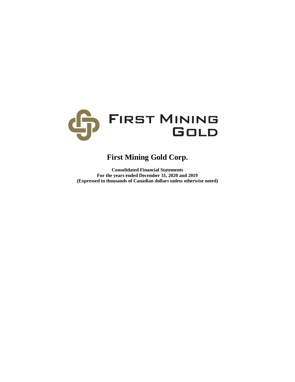

# **First Mining Gold Corp.**

**Consolidated Financial Statements For the years ended December 31, 2020 and 2019 (Expressed in thousands of Canadian dollars unless otherwise noted)**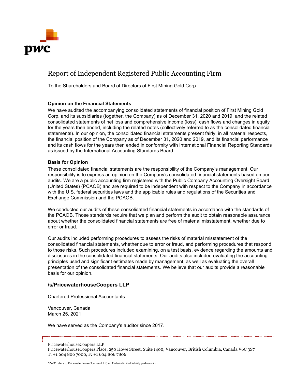

# Report of Independent Registered Public Accounting Firm

To the Shareholders and Board of Directors of First Mining Gold Corp.

# **Opinion on the Financial Statements**

We have audited the accompanying consolidated statements of financial position of First Mining Gold Corp. and its subsidiaries (together, the Company) as of December 31, 2020 and 2019, and the related consolidated statements of net loss and comprehensive income (loss), cash flows and changes in equity for the years then ended, including the related notes (collectively referred to as the consolidated financial statements). In our opinion, the consolidated financial statements present fairly, in all material respects, the financial position of the Company as of December 31, 2020 and 2019, and its financial performance and its cash flows for the years then ended in conformity with International Financial Reporting Standards as issued by the International Accounting Standards Board.

# **Basis for Opinion**

These consolidated financial statements are the responsibility of the Company's management. Our responsibility is to express an opinion on the Company's consolidated financial statements based on our audits. We are a public accounting firm registered with the Public Company Accounting Oversight Board (United States) (PCAOB) and are required to be independent with respect to the Company in accordance with the U.S. federal securities laws and the applicable rules and regulations of the Securities and Exchange Commission and the PCAOB.

We conducted our audits of these consolidated financial statements in accordance with the standards of the PCAOB. Those standards require that we plan and perform the audit to obtain reasonable assurance about whether the consolidated financial statements are free of material misstatement, whether due to error or fraud.

Our audits included performing procedures to assess the risks of material misstatement of the consolidated financial statements, whether due to error or fraud, and performing procedures that respond to those risks. Such procedures included examining, on a test basis, evidence regarding the amounts and disclosures in the consolidated financial statements. Our audits also included evaluating the accounting principles used and significant estimates made by management, as well as evaluating the overall presentation of the consolidated financial statements. We believe that our audits provide a reasonable basis for our opinion.

# **/s/PricewaterhouseCoopers LLP**

Chartered Professional Accountants

Vancouver, Canada March 25, 2021

We have served as the Company's auditor since 2017.

PricewaterhouseCoopers LLP

PricewaterhouseCoopers Place, 250 Howe Street, Suite 1400, Vancouver, British Columbia, Canada V6C 3S7 T: +1 604 806 7000, F: +1 604 806 7806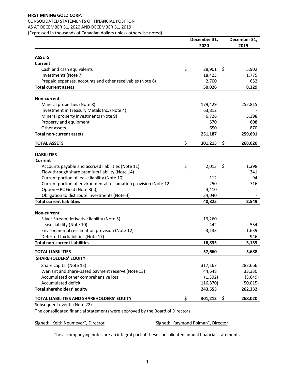## **FIRST MINING GOLD CORP.**  CONSOLIDATED STATEMENTS OF FINANCIAL POSITION AS AT DECEMBER 31, 2020 AND DECEMBER 31, 2019 (Expressed in thousands of Canadian dollars unless otherwise noted)

|                                                                  | December 31,<br>2020 | December 31,<br>2019 |
|------------------------------------------------------------------|----------------------|----------------------|
| <b>ASSETS</b>                                                    |                      |                      |
| Current                                                          |                      |                      |
| Cash and cash equivalents                                        | \$<br>28,901         | \$<br>5,902          |
| Investments (Note 7)                                             | 18,425               | 1,775                |
| Prepaid expenses, accounts and other receivables (Note 6)        | 2,700                | 652                  |
| <b>Total current assets</b>                                      | 50,026               | 8,329                |
| <b>Non-current</b>                                               |                      |                      |
| Mineral properties (Note 8)                                      | 179,429              | 252,815              |
| Investment in Treasury Metals Inc. (Note 4)                      | 63,812               |                      |
| Mineral property investments (Note 9)                            | 6,726                | 5,398                |
| Property and equipment                                           | 570                  | 608                  |
| Other assets                                                     | 650                  | 870                  |
| <b>Total non-current assets</b>                                  | 251,187              | 259,691              |
| <b>TOTAL ASSETS</b>                                              | \$<br>301,213        | \$<br>268,020        |
| <b>LIABILITIES</b>                                               |                      |                      |
| <b>Current</b>                                                   |                      |                      |
| Accounts payable and accrued liabilities (Note 11)               | \$<br>2,013          | \$<br>1,398          |
| Flow-through share premium liability (Note 14)                   |                      | 341                  |
| Current portion of lease liability (Note 10)                     | 112                  | 94                   |
| Current portion of environmental reclamation provision (Note 12) | 250                  | 716                  |
| Option - PC Gold (Note 8(a))                                     | 4,410                |                      |
| Obligation to distribute investments (Note 4)                    | 34,040               |                      |
| <b>Total current liabilities</b>                                 | 40,825               | 2,549                |
| Non-current                                                      |                      |                      |
| Silver Stream derivative liability (Note 5)                      | 13,260               |                      |
| Lease liability (Note 10)                                        | 442                  | 554                  |
| Environmental reclamation provision (Note 12)                    | 3,133                | 1,639                |
| Deferred tax liabilities (Note 17)                               |                      | 946                  |
| <b>Total non-current liabilities</b>                             | 16,835               | 3,139                |
| <b>TOTAL LIABILITIES</b>                                         | 57,660               | 5,688                |
| <b>SHAREHOLDERS' EQUITY</b>                                      |                      |                      |
| Share capital (Note 13)                                          | 317,167              | 282,666              |
| Warrant and share-based payment reserve (Note 13)                | 44,648               | 33,330               |
| Accumulated other comprehensive loss                             | (1, 392)             | (3,649)              |
| Accumulated deficit                                              | (116, 870)           | (50, 015)            |
| Total shareholders' equity                                       | 243,553              | 262,332              |
| TOTAL LIABILITIES AND SHAREHOLDERS' EQUITY                       | \$<br>301,213        | \$<br>268,020        |

Subsequent events (Note 22)

The consolidated financial statements were approved by the Board of Directors:

Signed: "Keith Neumeyer", Director Signed: "Raymond Polman", Director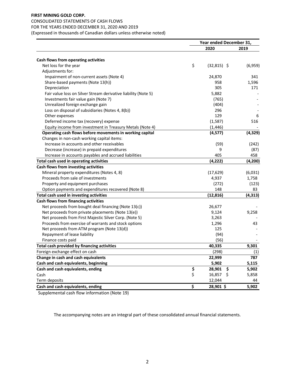## CONSOLIDATED STATEMENTS OF CASH FLOWS

# FOR THE YEARS ENDED DECEMBER 31, 2020 AND 2019

(Expressed in thousands of Canadian dollars unless otherwise noted)

|                                                                | Year ended December 31, |               |     |          |
|----------------------------------------------------------------|-------------------------|---------------|-----|----------|
|                                                                |                         | 2020          |     | 2019     |
| Cash flows from operating activities                           |                         |               |     |          |
| Net loss for the year                                          | \$                      | $(32,815)$ \$ |     | (6,959)  |
| Adjustments for:                                               |                         |               |     |          |
| Impairment of non-current assets (Note 4)                      |                         | 24,870        |     | 341      |
| Share-based payments (Note 13(h))                              |                         | 958           |     | 1,596    |
| Depreciation                                                   |                         | 305           |     | 171      |
| Fair value loss on Silver Stream derivative liability (Note 5) |                         | 5,882         |     |          |
| Investments fair value gain (Note 7)                           |                         | (765)         |     |          |
| Unrealized foreign exchange gain                               |                         | (404)         |     |          |
| Loss on disposal of subsidiaries (Notes 4, 8(b))               |                         | 296           |     |          |
| Other expenses                                                 |                         | 129           |     | 6        |
| Deferred income tax (recovery) expense                         |                         | (1,587)       |     | 516      |
| Equity income from investment in Treasury Metals (Note 4)      |                         | (1, 446)      |     |          |
| Operating cash flows before movements in working capital       |                         | (4,577)       |     | (4, 329) |
| Changes in non-cash working capital items:                     |                         |               |     |          |
| Increase in accounts and other receivables                     |                         | (59)          |     | (242)    |
| Decrease (increase) in prepaid expenditures                    |                         | 9             |     | (87)     |
| Increase in accounts payables and accrued liabilities          |                         | 405           |     | 458      |
| Total cash used in operating activities                        |                         | (4, 222)      |     | (4, 200) |
| Cash flows from investing activities                           |                         |               |     |          |
| Mineral property expenditures (Notes 4, 8)                     |                         | (17, 629)     |     | (6,031)  |
| Proceeds from sale of investments                              |                         | 4,937         |     | 1,758    |
| Property and equipment purchases                               |                         | (272)         |     | (123)    |
| Option payments and expenditures recovered (Note 8)            |                         | 148           |     | 83       |
| Total cash used in investing activities                        |                         | (12, 816)     |     | (4, 313) |
| Cash flows from financing activities                           |                         |               |     |          |
| Net proceeds from bought deal financing (Note 13(c))           |                         | 26,677        |     |          |
| Net proceeds from private placements (Note 13(e))              |                         | 9,124         |     | 9,258    |
| Net proceeds from First Majestic Silver Corp. (Note 5)         |                         | 3,263         |     |          |
| Proceeds from exercise of warrants and stock options           |                         | 1,296         |     | 43       |
| Net proceeds from ATM program (Note 13(d))                     |                         | 125           |     |          |
| Repayment of lease liability                                   |                         | (94)          |     |          |
| Finance costs paid                                             |                         | (56)          |     |          |
| Total cash provided by financing activities                    |                         | 40,335        |     | 9,301    |
| Foreign exchange effect on cash                                |                         | (298)         |     | (1)      |
| Change in cash and cash equivalents                            |                         | 22,999        |     | 787      |
| Cash and cash equivalents, beginning                           |                         | 5,902         |     | 5,115    |
| Cash and cash equivalents, ending                              | \$                      | 28,901        | \$, | 5,902    |
| Cash                                                           | \$                      | 16,857        | \$  | 5,858    |
| Term deposits                                                  |                         | 12,044        |     | 44       |
| Cash and cash equivalents, ending                              | \$                      | 28,901 \$     |     | 5,902    |

Supplemental cash flow information (Note 19)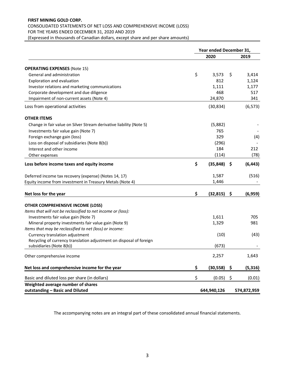# **FIRST MINING GOLD CORP.**  CONSOLIDATED STATEMENTS OF NET LOSS AND COMPREHENSIVE INCOME (LOSS) FOR THE YEARS ENDED DECEMBER 31, 2020 AND 2019

(Expressed in thousands of Canadian dollars, except share and per share amounts)

|                                                                     | Year ended December 31, |             |    |             |
|---------------------------------------------------------------------|-------------------------|-------------|----|-------------|
|                                                                     |                         | 2020        |    | 2019        |
| <b>OPERATING EXPENSES (Note 15)</b>                                 |                         |             |    |             |
| General and administration                                          | \$                      | 3,573       | \$ | 3,414       |
| Exploration and evaluation                                          |                         | 812         |    | 1,124       |
| Investor relations and marketing communications                     |                         | 1,111       |    | 1,177       |
| Corporate development and due diligence                             |                         | 468         |    | 517         |
| Impairment of non-current assets (Note 4)                           |                         | 24,870      |    | 341         |
| Loss from operational activities                                    |                         | (30, 834)   |    | (6, 573)    |
| <b>OTHER ITEMS</b>                                                  |                         |             |    |             |
| Change in fair value on Silver Stream derivative liability (Note 5) |                         | (5,882)     |    |             |
| Investments fair value gain (Note 7)                                |                         | 765         |    |             |
| Foreign exchange gain (loss)                                        |                         | 329         |    | (4)         |
| Loss on disposal of subsidiaries (Note 8(b))                        |                         | (296)       |    |             |
| Interest and other income                                           |                         | 184         |    | 212         |
| Other expenses                                                      |                         | (114)       |    | (78)        |
| Loss before income taxes and equity income                          | \$                      | (35, 848)   | S  | (6, 443)    |
| Deferred income tax recovery (expense) (Notes 14, 17)               |                         | 1,587       |    | (516)       |
| Equity income from investment in Treasury Metals (Note 4)           |                         | 1,446       |    |             |
| Net loss for the year                                               | \$                      | (32, 815)   | \$ | (6,959)     |
| OTHER COMPREHENSIVE INCOME (LOSS)                                   |                         |             |    |             |
| Items that will not be reclassified to net income or (loss):        |                         |             |    |             |
| Investments fair value gain (Note 7)                                |                         | 1,611       |    | 705         |
| Mineral property investments fair value gain (Note 9)               |                         | 1,329       |    | 981         |
| Items that may be reclassified to net (loss) or income:             |                         |             |    |             |
| Currency translation adjustment                                     |                         | (10)        |    | (43)        |
| Recycling of currency translation adjustment on disposal of foreign |                         |             |    |             |
| subsidiaries (Note 8(b))                                            |                         | (673)       |    |             |
| Other comprehensive income                                          |                         | 2,257       |    | 1,643       |
| Net loss and comprehensive income for the year                      | \$                      | (30, 558)   | \$ | (5, 316)    |
| Basic and diluted loss per share (in dollars)                       | \$                      | (0.05)      | \$ | (0.01)      |
| Weighted average number of shares                                   |                         |             |    |             |
| outstanding - Basic and Diluted                                     |                         | 644,940,126 |    | 574,872,959 |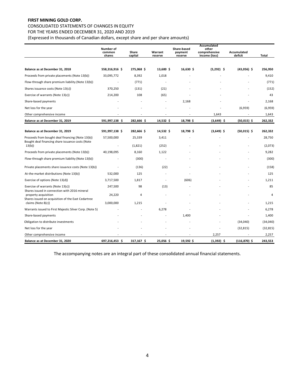# CONSOLIDATED STATEMENTS OF CHANGES IN EQUITY

FOR THE YEARS ENDED DECEMBER 31, 2020 AND 2019

(Expressed in thousands of Canadian dollars, except share and per share amounts)

|                                                                                                      | Number of<br>common<br>shares | Share<br>capital | Warrant<br>reserve       | Share-based<br>payment<br>reserve | Accumulated<br>other<br>comprehensive<br>income (loss) | Accumulated<br>deficit | Total     |
|------------------------------------------------------------------------------------------------------|-------------------------------|------------------|--------------------------|-----------------------------------|--------------------------------------------------------|------------------------|-----------|
|                                                                                                      |                               |                  |                          |                                   |                                                        |                        |           |
| Balance as at December 31, 2018                                                                      | 558,316,916 \$                | 275,068 \$       | 13,600 \$                | 16,630 \$                         | $(5,292)$ \$                                           | $(43,056)$ \$          | 256,950   |
| Proceeds from private placements (Note 13(b))                                                        | 33,095,772                    | 8,392            | 1,018                    |                                   |                                                        |                        | 9,410     |
| Flow-through share premium liability (Note 13(b))                                                    |                               | (771)            |                          |                                   |                                                        |                        | (771)     |
| Shares issuance costs (Note 13(c))                                                                   | 370,250                       | (131)            | (21)                     |                                   |                                                        |                        | (152)     |
| Exercise of warrants (Note 13(c))                                                                    | 214,200                       | 108              | (65)                     |                                   |                                                        |                        | 43        |
| Share-based payments                                                                                 |                               |                  |                          | 2,168                             |                                                        |                        | 2,168     |
| Net loss for the year                                                                                |                               |                  |                          |                                   |                                                        | (6,959)                | (6,959)   |
| Other comprehensive income                                                                           |                               |                  | $\overline{\phantom{a}}$ | $\overline{\phantom{a}}$          | 1,643                                                  |                        | 1,643     |
| Balance as at December 31, 2019                                                                      | 591,997,138 \$                | 282,666 \$       | 14,532 \$                | 18,798\$                          | $(3,649)$ \$                                           | $(50,015)$ \$          | 262,332   |
|                                                                                                      |                               |                  |                          |                                   |                                                        |                        |           |
| Balance as at December 31, 2019                                                                      | 591,997,138 \$                | 282,666 \$       | 14,532 \$                | 18,798 \$                         | $(3,649)$ \$                                           | $(50,015)$ \$          | 262,332   |
| Proceeds from bought deal financing (Note 13(b))<br>Bought deal financing share issuance costs (Note | 57,500,000                    | 25,339           | 3,411                    |                                   |                                                        |                        | 28,750    |
| 13(b)                                                                                                |                               | (1,821)          | (252)                    |                                   |                                                        |                        | (2,073)   |
| Proceeds from private placements (Note 13(b))                                                        | 40,198,095                    | 8,160            | 1,122                    |                                   |                                                        |                        | 9,282     |
| Flow-through share premium liability (Note 13(b))                                                    |                               | (300)            |                          |                                   |                                                        |                        | (300)     |
| Private placements share issuance costs (Note 13(b))                                                 |                               | (136)            | (22)                     |                                   |                                                        |                        | (158)     |
| At-the-market distributions (Note 13(b))                                                             | 532,000                       | 125              |                          |                                   |                                                        |                        | 125       |
| Exercise of options (Note 13(d))                                                                     | 3,717,500                     | 1,817            |                          | (606)                             |                                                        |                        | 1,211     |
| Exercise of warrants (Note 13(c))<br>Shares issued in connection with 2016 mineral                   | 247,500                       | 98               | (13)                     |                                   |                                                        |                        | 85        |
| property acquisition<br>Shares issued on acquisition of the East Cedartree                           | 24,220                        | 4                |                          |                                   |                                                        |                        | 4         |
| claims (Note 8(c))                                                                                   | 3,000,000                     | 1,215            |                          |                                   |                                                        |                        | 1,215     |
| Warrants issued to First Majestic Silver Corp. (Note 5)                                              |                               |                  | 6,278                    |                                   |                                                        |                        | 6,278     |
| Share-based payments                                                                                 |                               |                  |                          | 1,400                             |                                                        |                        | 1,400     |
| Obligation to distribute investments                                                                 |                               |                  |                          |                                   |                                                        | (34,040)               | (34,040)  |
| Net loss for the year                                                                                |                               |                  |                          |                                   |                                                        | (32, 815)              | (32, 815) |
| Other comprehensive income                                                                           |                               |                  |                          |                                   | 2,257                                                  |                        | 2,257     |
| Balance as at December 31, 2020                                                                      | 697,216,453 \$                | 317,167 \$       | 25,056 \$                | 19,592 \$                         | $(1,392)$ \$                                           | $(116, 870)$ \$        | 243,553   |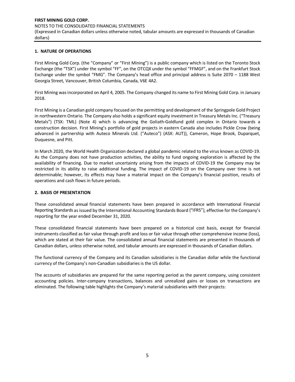## **1. NATURE OF OPERATIONS**

First Mining Gold Corp. (the "Company" or "First Mining") is a public company which is listed on the Toronto Stock Exchange (the "TSX") under the symbol "FF", on the OTCQX under the symbol "FFMGF", and on the Frankfurt Stock Exchange under the symbol "FMG". The Company's head office and principal address is Suite 2070 – 1188 West Georgia Street, Vancouver, British Columbia, Canada, V6E 4A2.

First Mining was incorporated on April 4, 2005. The Company changed its name to First Mining Gold Corp. in January 2018.

First Mining is a Canadian gold company focused on the permitting and development of the Springpole Gold Project in northwestern Ontario. The Company also holds a significant equity investment in Treasury Metals Inc. ("Treasury Metals") (TSX: TML) (Note 4) which is advancing the Goliath-Goldlund gold complex in Ontario towards a construction decision. First Mining's portfolio of gold projects in eastern Canada also includes Pickle Crow (being advanced in partnership with Auteco Minerals Ltd. ("Auteco") (ASX: AUT)), Cameron, Hope Brook, Duparquet, Duquesne, and Pitt.

In March 2020, the World Health Organization declared a global pandemic related to the virus known as COVID-19. As the Company does not have production activities, the ability to fund ongoing exploration is affected by the availability of financing. Due to market uncertainty arising from the impacts of COVID-19 the Company may be restricted in its ability to raise additional funding. The impact of COVID-19 on the Company over time is not determinable; however, its effects may have a material impact on the Company's financial position, results of operations and cash flows in future periods.

## **2. BASIS OF PRESENTATION**

These consolidated annual financial statements have been prepared in accordance with International Financial Reporting Standards as issued by the International Accounting Standards Board ("IFRS"), effective for the Company's reporting for the year ended December 31, 2020.

These consolidated financial statements have been prepared on a historical cost basis, except for financial instruments classified as fair value through profit and loss or fair value through other comprehensive income (loss), which are stated at their fair value. The consolidated annual financial statements are presented in thousands of Canadian dollars, unless otherwise noted, and tabular amounts are expressed in thousands of Canadian dollars.

The functional currency of the Company and its Canadian subsidiaries is the Canadian dollar while the functional currency of the Company's non-Canadian subsidiaries is the US dollar.

The accounts of subsidiaries are prepared for the same reporting period as the parent company, using consistent accounting policies. Inter-company transactions, balances and unrealized gains or losses on transactions are eliminated. The following table highlights the Company's material subsidiaries with their projects: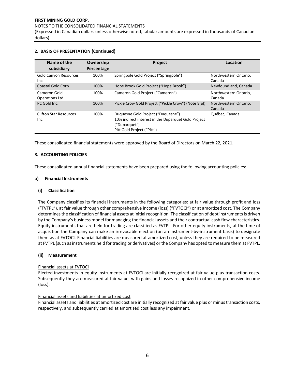NOTES TO THE CONSOLIDATED FINANCIAL STATEMENTS

(Expressed in Canadian dollars unless otherwise noted, tabular amounts are expressed in thousands of Canadian dollars)

| Name of the<br>subsidiary             | Ownership<br>Percentage | Project                                                                                                                                  | Location                        |
|---------------------------------------|-------------------------|------------------------------------------------------------------------------------------------------------------------------------------|---------------------------------|
| <b>Gold Canyon Resources</b><br>Inc.  | 100%                    | Springpole Gold Project ("Springpole")                                                                                                   | Northwestern Ontario,<br>Canada |
| Coastal Gold Corp.                    | 100%                    | Hope Brook Gold Project ("Hope Brook")                                                                                                   | Newfoundland, Canada            |
| Cameron Gold<br>Operations Ltd.       | 100%                    | Cameron Gold Project ("Cameron")                                                                                                         | Northwestern Ontario,<br>Canada |
| PC Gold Inc.                          | 100%                    | Pickle Crow Gold Project ("Pickle Crow") (Note 8(a))                                                                                     | Northwestern Ontario,<br>Canada |
| <b>Clifton Star Resources</b><br>Inc. | 100%                    | Duquesne Gold Project ("Duquesne")<br>10% indirect interest in the Duparquet Gold Project<br>("Duparquet")<br>Pitt Gold Project ("Pitt") | Québec, Canada                  |

## **2. BASIS OF PRESENTATION (Continued)**

These consolidated financial statements were approved by the Board of Directors on March 22, 2021.

## **3. ACCOUNTING POLICIES**

These consolidated annual financial statements have been prepared using the following accounting policies:

## **a) Financial Instruments**

## **(i) Classification**

The Company classifies its financial instruments in the following categories: at fair value through profit and loss ("FVTPL"), at fair value through other comprehensive income (loss) ("FVTOCI") or at amortized cost. The Company determines the classification of financial assets at initial recognition. The classification of debt instruments is driven by the Company's business model for managing the financial assets and their contractual cash flow characteristics. Equity instruments that are held for trading are classified as FVTPL. For other equity instruments, at the time of acquisition the Company can make an irrevocable election (on an instrument-by-instrument basis) to designate them as at FVTOCI. Financial liabilities are measured at amortized cost, unless they are required to be measured at FVTPL (such as instruments held for trading or derivatives) or the Company has opted to measure them at FVTPL.

#### **(ii) Measurement**

## Financial assets at FVTOCI

Elected investments in equity instruments at FVTOCI are initially recognized at fair value plus transaction costs. Subsequently they are measured at fair value, with gains and losses recognized in other comprehensive income (loss).

## Financial assets and liabilities at amortized cost

Financial assets and liabilities at amortized cost are initially recognized at fair value plus or minus transaction costs, respectively, and subsequently carried at amortized cost less any impairment.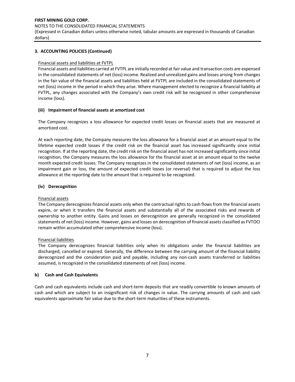#### NOTES TO THE CONSOLIDATED FINANCIAL STATEMENTS

(Expressed in Canadian dollars unless otherwise noted, tabular amounts are expressed in thousands of Canadian dollars)

## **3. ACCOUNTING POLICIES (Continued)**

## Financial assets and liabilities at FVTPL

Financial assets and liabilities carried at FVTPL are initially recorded at fair value and transaction costs are expensed in the consolidated statements of net (loss) income. Realized and unrealized gains and losses arising from changes in the fair value of the financial assets and liabilities held at FVTPL are included in the consolidated statements of net (loss) income in the period in which they arise. Where management elected to recognize a financial liability at FVTPL, any changes associated with the Company's own credit risk will be recognized in other comprehensive income (loss).

## **(iii) Impairment of financial assets at amortized cost**

The Company recognizes a loss allowance for expected credit losses on financial assets that are measured at amortized cost.

At each reporting date, the Company measures the loss allowance for a financial asset at an amount equal to the lifetime expected credit losses if the credit risk on the financial asset has increased significantly since initial recognition. If at the reporting date, the credit risk on the financial asset has not increased significantly since initial recognition, the Company measures the loss allowance for the financial asset at an amount equal to the twelve month expected credit losses. The Company recognizes in the consolidated statements of net (loss) income, as an impairment gain or loss, the amount of expected credit losses (or reversal) that is required to adjust the loss allowance at the reporting date to the amount that is required to be recognized.

# **(iv) Derecognition**

## Financial assets

The Company derecognizes financial assets only when the contractual rights to cash flows from the financial assets expire, or when it transfers the financial assets and substantially all of the associated risks and rewards of ownership to another entity. Gains and losses on derecognition are generally recognized in the consolidated statements of net (loss) income. However, gains and losses on derecognition of financial assets classified as FVTOCI remain within accumulated other comprehensive income (loss).

## Financial liabilities

The Company derecognizes financial liabilities only when its obligations under the financial liabilities are discharged, cancelled or expired. Generally, the difference between the carrying amount of the financial liability derecognized and the consideration paid and payable, including any non-cash assets transferred or liabilities assumed, is recognized in the consolidated statements of net (loss) income.

## **b) Cash and Cash Equivalents**

Cash and cash equivalents include cash and short-term deposits that are readily convertible to known amounts of cash and which are subject to an insignificant risk of changes in value. The carrying amounts of cash and cash equivalents approximate fair value due to the short-term maturities of these instruments.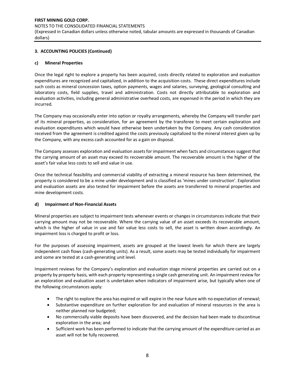## **FIRST MINING GOLD CORP.**  NOTES TO THE CONSOLIDATED FINANCIAL STATEMENTS (Expressed in Canadian dollars unless otherwise noted, tabular amounts are expressed in thousands of Canadian dollars)

# **3. ACCOUNTING POLICIES (Continued)**

## **c) Mineral Properties**

Once the legal right to explore a property has been acquired, costs directly related to exploration and evaluation expenditures are recognized and capitalized, in addition to the acquisition costs. These direct expenditures include such costs as mineral concession taxes, option payments, wages and salaries, surveying, geological consulting and laboratory costs, field supplies, travel and administration. Costs not directly attributable to exploration and evaluation activities, including general administrative overhead costs, are expensed in the period in which they are incurred.

The Company may occasionally enter into option or royalty arrangements, whereby the Company will transfer part of its mineral properties, as consideration, for an agreement by the transferee to meet certain exploration and evaluation expenditures which would have otherwise been undertaken by the Company. Any cash consideration received from the agreement is credited against the costs previously capitalized to the mineral interest given up by the Company, with any excess cash accounted for as a gain on disposal.

The Company assesses exploration and evaluation assets for impairment when facts and circumstances suggest that the carrying amount of an asset may exceed its recoverable amount. The recoverable amount is the higher of the asset's fair value less costs to sell and value in use.

Once the technical feasibility and commercial viability of extracting a mineral resource has been determined, the property is considered to be a mine under development and is classified as 'mines under construction'. Exploration and evaluation assets are also tested for impairment before the assets are transferred to mineral properties and mine development costs.

## **d) Impairment of Non-Financial Assets**

Mineral properties are subject to impairment tests whenever events or changes in circumstances indicate that their carrying amount may not be recoverable. Where the carrying value of an asset exceeds its recoverable amount, which is the higher of value in use and fair value less costs to sell, the asset is written down accordingly. An impairment loss is charged to profit or loss.

For the purposes of assessing impairment, assets are grouped at the lowest levels for which there are largely independent cash flows (cash-generating units). As a result, some assets may be tested individually for impairment and some are tested at a cash-generating unit level.

Impairment reviews for the Company's exploration and evaluation stage mineral properties are carried out on a property by property basis, with each property representing a single cash generating unit. An impairment review for an exploration and evaluation asset is undertaken when indicators of impairment arise, but typically when one of the following circumstances apply:

- The right to explore the area has expired or will expire in the near future with no expectation of renewal;
- Substantive expenditure on further exploration for and evaluation of mineral resources in the area is neither planned nor budgeted;
- No commercially viable deposits have been discovered, and the decision had been made to discontinue exploration in the area; and
- Sufficient work has been performed to indicate that the carrying amount of the expenditure carried as an asset will not be fully recovered.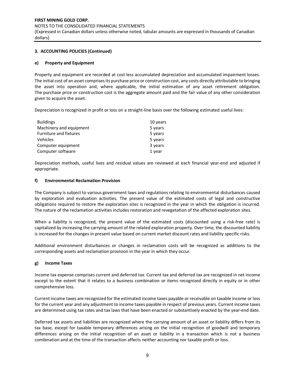## **3. ACCOUNTING POLICIES (Continued)**

## **e) Property and Equipment**

Property and equipment are recorded at cost less accumulated depreciation and accumulated impairment losses. The initial cost of an asset comprises its purchase price or construction cost, any costs directly attributable to bringing the asset into operation and, where applicable, the initial estimation of any asset retirement obligation. The purchase price or construction cost is the aggregate amount paid and the fair value of any other consideration given to acquire the asset.

Depreciation is recognized in profit or loss on a straight-line basis over the following estimated useful lives:

| <b>Buildings</b>        | 10 years |
|-------------------------|----------|
| Machinery and equipment | 5 years  |
| Furniture and fixtures  | 5 years  |
| Vehicles                | 5 years  |
| Computer equipment      | 3 years  |
| Computer software       | 1 year   |

Depreciation methods, useful lives and residual values are reviewed at each financial year-end and adjusted if appropriate.

## **f) Environmental Reclamation Provision**

The Company is subject to various government laws and regulations relating to environmental disturbances caused by exploration and evaluation activities. The present value of the estimated costs of legal and constructive obligations required to restore the exploration sites is recognized in the year in which the obligation is incurred. The nature of the reclamation activities includes restoration and revegetation of the affected exploration sites.

When a liability is recognized, the present value of the estimated costs (discounted using a risk-free rate) is capitalized by increasing the carrying amount of the related exploration property. Over time, the discounted liability is increased for the changes in present value based on current market discount rates and liability specific risks.

Additional environment disturbances or changes in reclamation costs will be recognized as additions to the corresponding assets and reclamation provision in the year in which they occur.

## **g) Income Taxes**

Income tax expense comprises current and deferred tax. Current tax and deferred tax are recognized in net income except to the extent that it relates to a business combination or items recognized directly in equity or in other comprehensive loss.

Current income taxes are recognized for the estimated income taxes payable or receivable on taxable income or loss for the current year and any adjustment to income taxes payable in respect of previous years. Current income taxes are determined using tax rates and tax laws that have been enacted or substantively enacted by the year-end date.

Deferred tax assets and liabilities are recognized where the carrying amount of an asset or liability differs from its tax base, except for taxable temporary differences arising on the initial recognition of goodwill and temporary differences arising on the initial recognition of an asset or liability in a transaction which is not a business combination and at the time of the transaction affects neither accounting nor taxable profit or loss.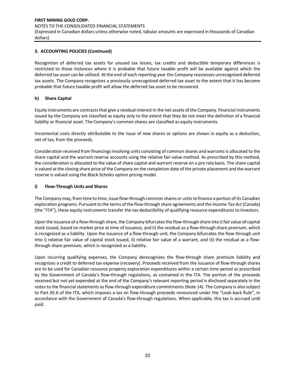## **3. ACCOUNTING POLICIES (Continued)**

Recognition of deferred tax assets for unused tax losses, tax credits and deductible temporary differences is restricted to those instances where it is probable that future taxable profit will be available against which the deferred tax asset can be utilized. At the end of each reporting year the Company reassesses unrecognized deferred tax assets. The Company recognizes a previously unrecognized deferred tax asset to the extent that it has become probable that future taxable profit will allow the deferred tax asset to be recovered.

# **h) Share Capital**

Equity instruments are contracts that give a residual interest in the net assets of the Company. Financial instruments issued by the Company are classified as equity only to the extent that they do not meet the definition of a financial liability or financial asset. The Company's common shares are classified as equity instruments.

Incremental costs directly attributable to the issue of new shares or options are shown in equity as a deduction, net of tax, from the proceeds.

Consideration received from financingsinvolving units consisting of common shares and warrants is allocated to the share capital and the warrant reserve accounts using the relative fair value method. As prescribed by this method, the consideration is allocated to the value of share capital and warrant reserve on a pro rata basis. The share capital is valued at the closing share price of the Company on the completion date of the private placement and the warrant reserve is valued using the Black-Scholes option pricing model.

## **i) Flow-Through Units and Shares**

The Company may, from time to time, issue flow-through common shares or units to finance a portion of its Canadian exploration programs. Pursuant to the terms of the flow-through share agreements and the *Income Tax Act* (Canada) (the "ITA"), these equity instruments transfer the tax deductibility of qualifying resource expenditures to investors.

Upon the issuance of a flow-through share, the Company bifurcates the flow-through share into i) fair value of capital stock issued, based on market price at time of issuance, and ii) the residual as a flow-through share premium, which is recognized as a liability. Upon the issuance of a flow-through unit, the Company bifurcates the flow-through unit into i) relative fair value of capital stock issued, ii) relative fair value of a warrant, and iii) the residual as a flowthrough share premium, which is recognized as a liability.

Upon incurring qualifying expenses, the Company derecognizes the flow-through share premium liability and recognizes a credit to deferred tax expense (recovery). Proceeds received from the issuance of flow-through shares are to be used for Canadian resource property exploration expenditures within a certain time period as prescribed by the Government of Canada's flow-through regulations, as contained in the ITA. The portion of the proceeds received but not yet expended at the end of the Company's relevant reporting period is disclosed separately in the notes to the financial statements as flow-through expenditure commitments (Note 14). The Company is also subject to Part XII.6 of the ITA, which imposes a tax on flow-through proceeds renounced under the "Look-back Rule", in accordance with the Government of Canada's flow-through regulations. When applicable, this tax is accrued until paid.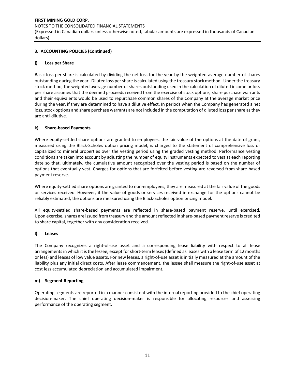## **FIRST MINING GOLD CORP.**  NOTES TO THE CONSOLIDATED FINANCIAL STATEMENTS (Expressed in Canadian dollars unless otherwise noted, tabular amounts are expressed in thousands of Canadian dollars)

# **3. ACCOUNTING POLICIES (Continued)**

## **j) Loss per Share**

Basic loss per share is calculated by dividing the net loss for the year by the weighted average number of shares outstanding during the year. Diluted loss per share is calculated using the treasury stock method. Under the treasury stock method, the weighted average number of shares outstanding used in the calculation of diluted income or loss per share assumes that the deemed proceeds received from the exercise of stock options, share purchase warrants and their equivalents would be used to repurchase common shares of the Company at the average market price during the year, if they are determined to have a dilutive effect. In periods when the Company has generated a net loss, stock options and share purchase warrants are not included in the computation of diluted loss per share as they are anti-dilutive.

## **k) Share-based Payments**

Where equity-settled share options are granted to employees, the fair value of the options at the date of grant, measured using the Black-Scholes option pricing model, is charged to the statement of comprehensive loss or capitalized to mineral properties over the vesting period using the graded vesting method. Performance vesting conditions are taken into account by adjusting the number of equity instruments expected to vest at each reporting date so that, ultimately, the cumulative amount recognized over the vesting period is based on the number of options that eventually vest. Charges for options that are forfeited before vesting are reversed from share-based payment reserve.

Where equity-settled share options are granted to non-employees, they are measured at the fair value of the goods or services received. However, if the value of goods or services received in exchange for the options cannot be reliably estimated, the options are measured using the Black-Scholes option pricing model.

All equity-settled share-based payments are reflected in share-based payment reserve, until exercised. Upon exercise, shares are issued from treasury and the amount reflected in share-based payment reserve is credited to share capital, together with any consideration received.

## **l) Leases**

The Company recognizes a right-of-use asset and a corresponding lease liability with respect to all lease arrangements in which it is the lessee, except for short-term leases (defined as leases with a lease term of 12 months or less) and leases of low value assets. For new leases, a right-of-use asset is initially measured at the amount of the liability plus any initial direct costs. After lease commencement, the lessee shall measure the right-of-use asset at cost less accumulated depreciation and accumulated impairment.

## **m) Segment Reporting**

Operating segments are reported in a manner consistent with the internal reporting provided to the chief operating decision-maker. The chief operating decision-maker is responsible for allocating resources and assessing performance of the operating segment.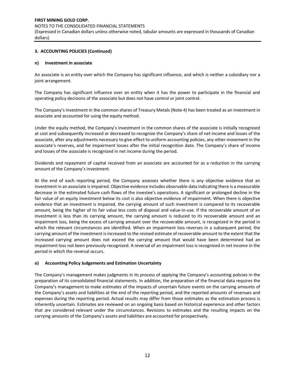## **3. ACCOUNTING POLICIES (Continued)**

## **n) Investment in associate**

An associate is an entity over which the Company has significant influence, and which is neither a subsidiary nor a joint arrangement.

The Company has significant influence over an entity when it has the power to participate in the financial and operating policy decisions of the associate but does not have control or joint control.

The Company's investment in the common shares of Treasury Metals (Note 4) has been treated as an investment in associate and accounted for using the equity method.

Under the equity method, the Company's investment in the common shares of the associate is initially recognized at cost and subsequently increased or decreased to recognize the Company's share of net income and losses of the associate, after any adjustments necessary to give effect to uniform accounting policies, any other movement in the associate's reserves, and for impairment losses after the initial recognition date. The Company's share of income and losses of the associate is recognized in net income during the period.

Dividends and repayment of capital received from an associate are accounted for as a reduction in the carrying amount of the Company's investment.

At the end of each reporting period, the Company assesses whether there is any objective evidence that an investment in an associate is impaired. Objective evidence includes observable data indicating there is a measurable decrease in the estimated future cash flows of the investee's operations. A significant or prolonged decline in the fair value of an equity investment below its cost is also objective evidence of impairment. When there is objective evidence that an investment is impaired, the carrying amount of such investment is compared to its recoverable amount, being the higher of its fair value less costs of disposal and value-in-use. If the recoverable amount of an investment is less than its carrying amount, the carrying amount is reduced to its recoverable amount and an impairment loss, being the excess of carrying amount over the recoverable amount, is recognized in the period in which the relevant circumstances are identified. When an impairment loss reverses in a subsequent period, the carrying amount of the investment is increased to the revised estimate of recoverable amount to the extent that the increased carrying amount does not exceed the carrying amount that would have been determined had an impairment loss not been previously recognized. A reversal of an impairment loss is recognized in net income in the period in which the reversal occurs.

## **o) Accounting Policy Judgements and Estimation Uncertainty**

The Company's management makes judgments in its process of applying the Company's accounting policies in the preparation of its consolidated financial statements. In addition, the preparation of the financial data requires the Company's management to make estimates of the impacts of uncertain future events on the carrying amounts of the Company's assets and liabilities at the end of the reporting period, and the reported amounts of revenues and expenses during the reporting period. Actual results may differ from those estimates as the estimation process is inherently uncertain. Estimates are reviewed on an ongoing basis based on historical experience and other factors that are considered relevant under the circumstances. Revisions to estimates and the resulting impacts on the carrying amounts of the Company's assets and liabilities are accounted for prospectively.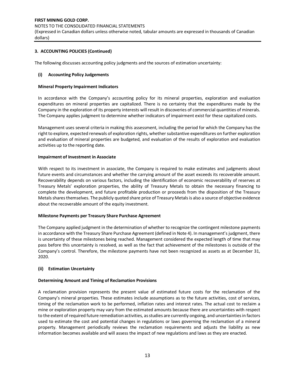# **FIRST MINING GOLD CORP.**  NOTES TO THE CONSOLIDATED FINANCIAL STATEMENTS (Expressed in Canadian dollars unless otherwise noted, tabular amounts are expressed in thousands of Canadian

dollars)

## **3. ACCOUNTING POLICIES (Continued)**

The following discusses accounting policy judgments and the sources of estimation uncertainty:

#### **(i) Accounting Policy Judgements**

#### **Mineral Property Impairment Indicators**

In accordance with the Company's accounting policy for its mineral properties, exploration and evaluation expenditures on mineral properties are capitalized. There is no certainty that the expenditures made by the Company in the exploration of its property interests will result in discoveries of commercial quantities of minerals. The Company applies judgment to determine whether indicators of impairment exist for these capitalized costs.

Management uses several criteria in making this assessment, including the period for which the Company has the right to explore, expected renewals of exploration rights, whether substantive expenditures on further exploration and evaluation of mineral properties are budgeted, and evaluation of the results of exploration and evaluation activities up to the reporting date.

#### **Impairment of Investment in Associate**

With respect to its investment in associate, the Company is required to make estimates and judgments about future events and circumstances and whether the carrying amount of the asset exceeds its recoverable amount. Recoverability depends on various factors, including the identification of economic recoverability of reserves at Treasury Metals' exploration properties, the ability of Treasury Metals to obtain the necessary financing to complete the development, and future profitable production or proceeds from the disposition of the Treasury Metals shares themselves. The publicly quoted share price of Treasury Metals is also a source of objective evidence about the recoverable amount of the equity investment.

#### **Milestone Payments per Treasury Share Purchase Agreement**

The Company applied judgment in the determination of whether to recognize the contingent milestone payments in accordance with the Treasury Share Purchase Agreement (defined in Note 4). In management's judgment, there is uncertainty of these milestones being reached. Management considered the expected length of time that may pass before this uncertainty is resolved, as well as the fact that achievement of the milestones is outside of the Company's control. Therefore, the milestone payments have not been recognized as assets as at December 31, 2020.

#### **(ii) Estimation Uncertainty**

#### **Determining Amount and Timing of Reclamation Provisions**

A reclamation provision represents the present value of estimated future costs for the reclamation of the Company's mineral properties. These estimates include assumptions as to the future activities, cost of services, timing of the reclamation work to be performed, inflation rates and interest rates. The actual cost to reclaim a mine or exploration property may vary from the estimated amounts because there are uncertainties with respect to the extent of required future remediation activities, as studies are currently ongoing, and uncertainties in factors used to estimate the cost and potential changes in regulations or laws governing the reclamation of a mineral property. Management periodically reviews the reclamation requirements and adjusts the liability as new information becomes available and will assess the impact of new regulations and laws as they are enacted.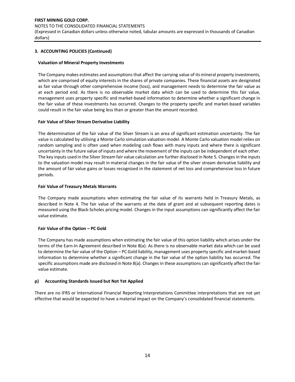#### NOTES TO THE CONSOLIDATED FINANCIAL STATEMENTS

(Expressed in Canadian dollars unless otherwise noted, tabular amounts are expressed in thousands of Canadian dollars)

# **3. ACCOUNTING POLICIES (Continued)**

## **Valuation of Mineral Property Investments**

The Company makes estimates and assumptions that affect the carrying value of its mineral property investments, which are comprised of equity interests in the shares of private companies. These financial assets are designated as fair value through other comprehensive income (loss), and management needs to determine the fair value as at each period end. As there is no observable market data which can be used to determine this fair value, management uses property specific and market-based information to determine whether a significant change in the fair value of these investments has occurred. Changes to the property specific and market-based variables could result in the fair value being less than or greater than the amount recorded.

## **Fair Value of Silver Stream Derivative Liability**

The determination of the fair value of the Silver Stream is an area of significant estimation uncertainty. The fair value is calculated by utilising a Monte Carlo simulation valuation model. A Monte Carlo valuation model relies on random sampling and is often used when modeling cash flows with many inputs and where there is significant uncertainty in the future value of inputs and where the movement of the inputs can be independent of each other. The key inputs used in the Silver Stream fair value calculation are further disclosed in Note 5. Changes in the inputs to the valuation model may result in material changes in the fair value of the silver stream derivative liability and the amount of fair value gains or losses recognized in the statement of net loss and comprehensive loss in future periods.

# **Fair Value of Treasury Metals Warrants**

The Company made assumptions when estimating the fair value of its warrants held in Treasury Metals, as described in Note 4. The fair value of the warrants at the date of grant and at subsequent reporting dates is measured using the Black-Scholes pricing model. Changes in the input assumptions can significantly affect the fair value estimate.

# **Fair Value of the Option – PC Gold**

The Company has made assumptions when estimating the fair value of this option liability which arises under the terms of the Earn-In Agreement described in Note 8(a). As there is no observable market data which can be used to determine the fair value of the Option – PC Gold liability, management uses property specific and market-based information to determine whether a significant change in the fair value of the option liability has occurred. The specific assumptions made are disclosed in Note 8(a). Changes in these assumptions can significantly affect the fair value estimate.

# **p) Accounting Standards Issued but Not Yet Applied**

There are no IFRS or International Financial Reporting Interpretations Committee interpretations that are not yet effective that would be expected to have a material impact on the Company's consolidated financial statements.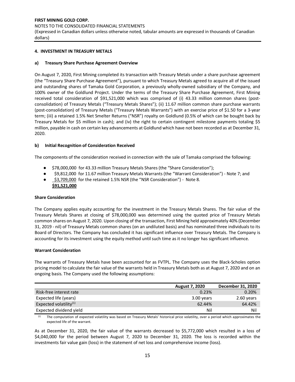NOTES TO THE CONSOLIDATED FINANCIAL STATEMENTS

(Expressed in Canadian dollars unless otherwise noted, tabular amounts are expressed in thousands of Canadian dollars)

## **4. INVESTMENT IN TREASURY METALS**

## **a) Treasury Share Purchase Agreement Overview**

On August 7, 2020, First Mining completed its transaction with Treasury Metals under a share purchase agreement (the "Treasury Share Purchase Agreement"), pursuant to which Treasury Metals agreed to acquire all of the issued and outstanding shares of Tamaka Gold Corporation, a previously wholly-owned subsidiary of the Company, and 100% owner of the Goldlund Project. Under the terms of the Treasury Share Purchase Agreement, First Mining received total consideration of \$91,521,000 which was comprised of (i) 43.33 million common shares (postconsolidation) of Treasury Metals ("Treasury Metals Shares"); (ii) 11.67 million common share purchase warrants (post-consolidation) of Treasury Metals ("Treasury Metals Warrants") with an exercise price of \$1.50 for a 3-year term; (iii) a retained 1.5% Net Smelter Returns ("NSR") royalty on Goldlund (0.5% of which can be bought back by Treasury Metals for \$5 million in cash); and (iv) the right to certain contingent milestone payments totaling \$5 million, payable in cash on certain key advancements at Goldlund which have not been recorded as at December 31, 2020.

## **b) Initial Recognition of Consideration Received**

The components of the consideration received in connection with the sale of Tamaka comprised the following:

- \$78,000,000 for 43.33 million Treasury Metals Shares (the "Share Consideration");
- \$9,812,000 for 11.67 million Treasury Metals Warrants (the "Warrant Consideration") Note 7; and
- \$3,709,000 for the retained 1.5% NSR (the "NSR Consideration") Note 8.  **\$91,521,000**

#### **Share Consideration**

The Company applies equity accounting for the investment in the Treasury Metals Shares. The fair value of the Treasury Metals Shares at closing of \$78,000,000 was determined using the quoted price of Treasury Metals common shares on August 7, 2020. Upon closing of the transaction, First Mining held approximately 40% (December 31, 2019 - nil) of Treasury Metals common shares (on an undiluted basis) and has nominated three individuals to its Board of Directors. The Company has concluded it has significant influence over Treasury Metals. The Company is accounting for its investment using the equity method until such time as it no longer has significant influence.

#### **Warrant Consideration**

The warrants of Treasury Metals have been accounted for as FVTPL. The Company uses the Black-Scholes option pricing model to calculate the fair value of the warrants held in Treasury Metals both as at August 7, 2020 and on an ongoing basis. The Company used the following assumptions:

|                           | <b>August 7, 2020</b> | December 31, 2020 |
|---------------------------|-----------------------|-------------------|
| Risk-free interest rate   | 0.23%                 | 0.20%             |
| Expected life (years)     | 3.00 years            | 2.60 years        |
| Expected volatility $(1)$ | 62.44%                | 64.42%            |
| Expected dividend yield   | Nil                   | Nil               |

(1) The computation of expected volatility was based on Treasury Metals' historical price volatility, over a period which approximates the expected life of the warrant.

As at December 31, 2020, the fair value of the warrants decreased to \$5,772,000 which resulted in a loss of \$4,040,000 for the period between August 7, 2020 to December 31, 2020. The loss is recorded within the investments fair value gain (loss) in the statement of net loss and comprehensive income (loss).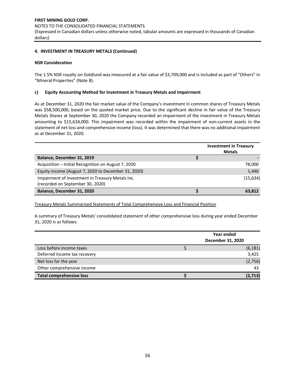## **4. INVESTMENT IN TREASURY METALS (Continued)**

#### **NSR Consideration**

The 1.5% NSR royalty on Goldlund was measured at a fair value of \$3,709,000 and is included as part of "Others" in "Mineral Properties" (Note 8).

#### **c) Equity Accounting Method for Investment in Treasury Metals and Impairment**

As at December 31, 2020 the fair market value of the Company's investment in common shares of Treasury Metals was \$58,500,000, based on the quoted market price. Due to the significant decline in fair value of the Treasury Metals Shares at September 30, 2020 the Company recorded an impairment of the investment in Treasury Metals amounting to \$15,634,000. This impairment was recorded within the impairment of non-current assets in the statement of net loss and comprehensive income (loss). It was determined that there was no additional impairment as at December 31, 2020.

|                                                     | <b>Investment in Treasury</b><br><b>Metals</b> |
|-----------------------------------------------------|------------------------------------------------|
| Balance, December 31, 2019                          |                                                |
| Acquisition – Initial Recognition on August 7, 2020 | 78,000                                         |
| Equity income (August 7, 2020 to December 31, 2020) | 1,446                                          |
| Impairment of Investment in Treasury Metals Inc.    | (15, 634)                                      |
| (recorded on September 30, 2020)                    |                                                |
| Balance, December 31, 2020                          | 63,812                                         |

Treasury Metals Summarized Statements of Total Comprehensive Loss and Financial Position

A summary of Treasury Metals' consolidated statement of other comprehensive loss during year ended December 31, 2020 is as follows:

|                                 | Year ended<br>December 31, 2020 |          |
|---------------------------------|---------------------------------|----------|
| Loss before income taxes        |                                 | (6, 181) |
| Deferred income tax recovery    |                                 | 3,425    |
| Net loss for the year           |                                 | (2,756)  |
| Other comprehensive income      |                                 | 43       |
| <b>Total comprehensive loss</b> |                                 | (2, 713) |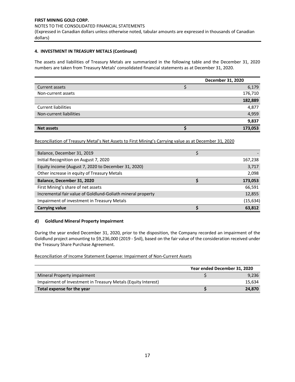## **4. INVESTMENT IN TREASURY METALS (Continued)**

The assets and liabilities of Treasury Metals are summarized in the following table and the December 31, 2020 numbers are taken from Treasury Metals' consolidated financial statements as at December 31, 2020.

|                            | December 31, 2020 |  |
|----------------------------|-------------------|--|
| Current assets             | 6,179             |  |
| Non-current assets         | 176,710           |  |
|                            | 182,889           |  |
| <b>Current liabilities</b> | 4,877             |  |
| Non-current liabilities    | 4,959             |  |
|                            | 9,837             |  |
| <b>Net assets</b>          | 173,053           |  |

Reconciliation of Treasury Metal's Net Assets to First Mining's Carrying value as at December 31, 2020

| Balance, December 31, 2019                                  |           |
|-------------------------------------------------------------|-----------|
| Initial Recognition on August 7, 2020                       | 167,238   |
| Equity income (August 7, 2020 to December 31, 2020)         | 3,717     |
| Other increase in equity of Treasury Metals                 | 2,098     |
| Balance, December 31, 2020                                  | 173,053   |
| First Mining's share of net assets                          | 66,591    |
| Incremental fair value of Goldlund-Goliath mineral property | 12,855    |
| Impairment of investment in Treasury Metals                 | (15, 634) |
| <b>Carrying value</b>                                       | 63,812    |

## **d) Goldlund Mineral Property Impairment**

During the year ended December 31, 2020, prior to the disposition, the Company recorded an impairment of the Goldlund project amounting to \$9,236,000 (2019 - \$nil), based on the fair value of the consideration received under the Treasury Share Purchase Agreement.

Reconciliation of Income Statement Expense: Impairment of Non-Current Assets

|                                                               | Year ended December 31, 2020 |        |  |
|---------------------------------------------------------------|------------------------------|--------|--|
| Mineral Property impairment                                   |                              | 9,236  |  |
| Impairment of Investment in Treasury Metals (Equity Interest) |                              | 15.634 |  |
| Total expense for the year                                    |                              | 24,870 |  |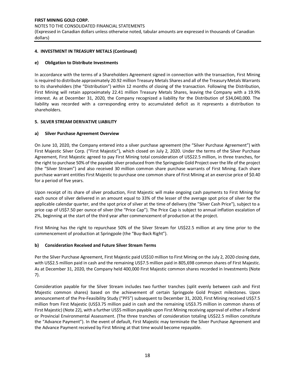# **FIRST MINING GOLD CORP.**  NOTES TO THE CONSOLIDATED FINANCIAL STATEMENTS (Expressed in Canadian dollars unless otherwise noted, tabular amounts are expressed in thousands of Canadian dollars)

## **4. INVESTMENT IN TREASURY METALS (Continued)**

## **e) Obligation to Distribute Investments**

In accordance with the terms of a Shareholders Agreement signed in connection with the transaction, First Mining is required to distribute approximately 20.92 million Treasury Metals Shares and all of the Treasury Metals Warrants to its shareholders (the "Distribution") within 12 months of closing of the transaction. Following the Distribution, First Mining will retain approximately 22.41 million Treasury Metals Shares, leaving the Company with a 19.9% interest. As at December 31, 2020, the Company recognized a liability for the Distribution of \$34,040,000. The liability was recorded with a corresponding entry to accumulated deficit as it represents a distribution to shareholders.

## **5. SILVER STREAM DERIVATIVE LIABILITY**

## **a) Silver Purchase Agreement Overview**

On June 10, 2020, the Company entered into a silver purchase agreement (the "Silver Purchase Agreement") with First Majestic Silver Corp. ("First Majestic"), which closed on July 2, 2020. Under the terms of the Silver Purchase Agreement, First Majestic agreed to pay First Mining total consideration of US\$22.5 million, in three tranches, for the right to purchase 50% of the payable silver produced from the Springpole Gold Project over the life of the project (the "Silver Stream") and also received 30 million common share purchase warrants of First Mining. Each share purchase warrant entitles First Majestic to purchase one common share of First Mining at an exercise price of \$0.40 for a period of five years.

Upon receipt of its share of silver production, First Majestic will make ongoing cash payments to First Mining for each ounce of silver delivered in an amount equal to 33% of the lesser of the average spot price of silver for the applicable calendar quarter, and the spot price of silver at the time of delivery (the "Silver Cash Price"), subject to a price cap of US\$7.50 per ounce of silver (the "Price Cap"). The Price Cap is subject to annual inflation escalation of 2%, beginning at the start of the third year after commencement of production at the project.

First Mining has the right to repurchase 50% of the Silver Stream for US\$22.5 million at any time prior to the commencement of production at Springpole (the "Buy-Back Right").

## **b) Consideration Received and Future Silver Stream Terms**

Per the Silver Purchase Agreement, First Majestic paid US\$10 million to First Mining on the July 2, 2020 closing date, with US\$2.5 million paid in cash and the remaining US\$7.5 million paid in 805,698 common shares of First Majestic. As at December 31, 2020, the Company held 400,000 First Majestic common shares recorded in Investments (Note 7).

Consideration payable for the Silver Stream includes two further tranches (split evenly between cash and First Majestic common shares) based on the achievement of certain Springpole Gold Project milestones. Upon announcement of the Pre-Feasibility Study ("PFS") subsequent to December 31, 2020, First Mining received US\$7.5 million from First Majestic (US\$3.75 million paid in cash and the remaining US\$3.75 million in common shares of First Majestic) (Note 22), with a further US\$5 million payable upon First Mining receiving approval of either a Federal or Provincial Environmental Assessment. (The three tranches of consideration totaling US\$22.5 million constitute the "Advance Payment"). In the event of default, First Majestic may terminate the Silver Purchase Agreement and the Advance Payment received by First Mining at that time would become repayable.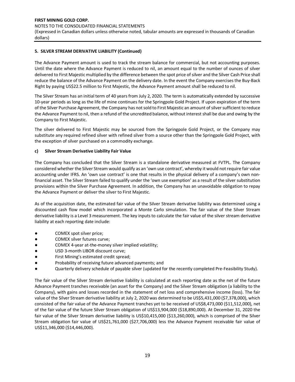## **5. SILVER STREAM DERIVATIVE LIABILITY (Continued)**

The Advance Payment amount is used to track the stream balance for commercial, but not accounting purposes. Until the date where the Advance Payment is reduced to nil, an amount equal to the number of ounces of silver delivered to First Majestic multiplied by the difference between the spot price of silver and the Silver Cash Price shall reduce the balance of the Advance Payment on the delivery date. In the event the Company exercises the Buy-Back Right by paying US\$22.5 million to First Majestic, the Advance Payment amount shall be reduced to nil.

The Silver Stream has an initial term of 40 years from July 2, 2020. The term is automatically extended by successive 10-year periods as long as the life of mine continues for the Springpole Gold Project. If upon expiration of the term of the Silver Purchase Agreement, the Company has not sold to First Majestic an amount of silver sufficient to reduce the Advance Payment to nil, then a refund of the uncredited balance, without interest shall be due and owing by the Company to First Majestic.

The silver delivered to First Majestic may be sourced from the Springpole Gold Project, or the Company may substitute any required refined silver with refined silver from a source other than the Springpole Gold Project, with the exception of silver purchased on a commodity exchange.

# **c) Silver Stream Derivative Liability Fair Value**

The Company has concluded that the Silver Stream is a standalone derivative measured at FVTPL. The Company considered whether the Silver Stream would qualify as an 'own use contract', whereby it would not require fair value accounting under IFRS. An 'own use contract' is one that results in the physical delivery of a company's own nonfinancial asset. The Silver Stream failed to qualify under the 'own use exemption' as a result of the silver substitution provisions within the Silver Purchase Agreement. In addition, the Company has an unavoidable obligation to repay the Advance Payment or deliver the silver to First Majestic.

As of the acquisition date, the estimated fair value of the Silver Stream derivative liability was determined using a discounted cash flow model which incorporated a Monte Carlo simulation. The fair value of the Silver Stream derivative liability is a Level 3 measurement. The key inputs to calculate the fair value of the silver stream derivative liability at each reporting date include:

- COMEX spot silver price;
- COMEX silver futures curve;
- COMEX 4-year at-the-money silver implied volatility;
- USD 3-month LIBOR discount curve;
- First Mining's estimated credit spread;
- Probability of receiving future advanced payments; and
- Quarterly delivery schedule of payable silver (updated for the recently completed Pre-Feasibility Study).

The fair value of the Silver Stream derivative liability is calculated at each reporting date as the net of the future Advance Payment tranches receivable (an asset for the Company) and the Silver Stream obligation (a liability to the Company), with gains and losses recorded in the statement of net loss and comprehensive income (loss). The fair value of the Silver Stream derivative liability at July 2, 2020 was determined to be US\$5,431,000 (\$7,378,000), which consisted of the fair value of the Advance Payment tranches yet to be received of US\$8,473,000 (\$11,512,000), net of the fair value of the future Silver Stream obligation of US\$13,904,000 (\$18,890,000). At December 31, 2020 the fair value of the Silver Stream derivative liability is US\$10,415,000 (\$13,260,000), which is comprised of the Silver Stream obligation fair value of US\$21,761,000 (\$27,706,000) less the Advance Payment receivable fair value of US\$11,346,000 (\$14,446,000).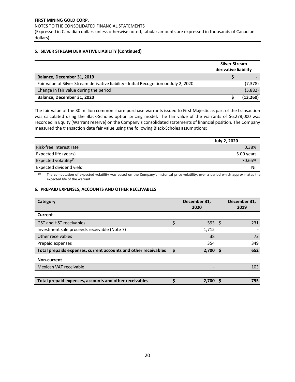**FIRST MINING GOLD CORP.**  NOTES TO THE CONSOLIDATED FINANCIAL STATEMENTS

(Expressed in Canadian dollars unless otherwise noted, tabular amounts are expressed in thousands of Canadian dollars)

## **5. SILVER STREAM DERIVATIVE LIABILITY (Continued)**

|                                                                                        | <b>Silver Stream</b><br>derivative liability |           |
|----------------------------------------------------------------------------------------|----------------------------------------------|-----------|
| Balance, December 31, 2019                                                             |                                              |           |
| Fair value of Silver Stream derivative liability - Initial Recognition on July 2, 2020 |                                              | (7, 378)  |
| Change in fair value during the period                                                 |                                              | (5,882)   |
| Balance, December 31, 2020                                                             |                                              | (13, 260) |

The fair value of the 30 million common share purchase warrants issued to First Majestic as part of the transaction was calculated using the Black-Scholes option pricing model. The fair value of the warrants of \$6,278,000 was recorded in Equity (Warrant reserve) on the Company's consolidated statements of financial position. The Company measured the transaction date fair value using the following Black-Scholes assumptions:

|                                    | <b>July 2, 2020</b> |
|------------------------------------|---------------------|
| Risk-free interest rate            | 0.38%               |
| Expected life (years)              | 5.00 years          |
| Expected volatility <sup>(1)</sup> | 70.65%              |
| Expected dividend yield            | Nil                 |

(1) The computation of expected volatility was based on the Company's historical price volatility, over a period which approximates the expected life of the warrant.

## **6. PREPAID EXPENSES, ACCOUNTS AND OTHER RECEIVABLES**

| Category                                                        |    | December 31,<br>2020 | December 31,<br>2019 |
|-----------------------------------------------------------------|----|----------------------|----------------------|
| Current                                                         |    |                      |                      |
| <b>GST and HST receivables</b>                                  | \$ | 593 \$               | 231                  |
| Investment sale proceeds receivable (Note 7)                    |    | 1,715                |                      |
| Other receivables                                               |    | 38                   | 72                   |
| Prepaid expenses                                                |    | 354                  | 349                  |
| Total prepaids expenses, current accounts and other receivables | \$ | $2,700$ \$           | 652                  |
| Non-current                                                     |    |                      |                      |
| Mexican VAT receivable                                          |    |                      | 103                  |
|                                                                 |    |                      |                      |
| Total prepaid expenses, accounts and other receivables          | Ś  | 2.700                | 755                  |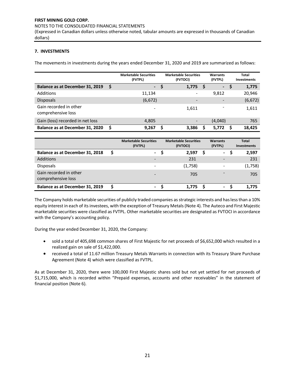#### NOTES TO THE CONSOLIDATED FINANCIAL STATEMENTS

(Expressed in Canadian dollars unless otherwise noted, tabular amounts are expressed in thousands of Canadian dollars)

# **7. INVESTMENTS**

The movements in investments during the years ended December 31, 2020 and 2019 are summarized as follows:

|                                              |   | <b>Marketable Securities</b><br>(FVTPL) |   | <b>Marketable Securities</b><br>(FVTOCI) |    | Warrants<br>(FVTPL)      |   | Total<br>Investments |
|----------------------------------------------|---|-----------------------------------------|---|------------------------------------------|----|--------------------------|---|----------------------|
| Balance as at December 31, 2019              | S | /= 7                                    | S | 1,775                                    | -S | ↽                        | S | 1,775                |
| Additions                                    |   | 11.134                                  |   |                                          |    | 9,812                    |   | 20,946               |
| <b>Disposals</b>                             |   | (6, 672)                                |   |                                          |    | $\overline{\phantom{a}}$ |   | (6, 672)             |
| Gain recorded in other<br>comprehensive loss |   |                                         |   | 1,611                                    |    | $\overline{\phantom{a}}$ |   | 1,611                |
| Gain (loss) recorded in net loss             |   | 4,805                                   |   |                                          |    | (4,040)                  |   | 765                  |
| Balance as at December 31, 2020              |   | 9,267                                   | s | 3,386                                    |    | 5.772                    |   | 18.425               |

|                                              | <b>Marketable Securities</b><br>(FVTPL) | <b>Marketable Securities</b><br>(FVTOCI) | <b>Warrants</b><br>(FVTPL) | <b>Total</b><br><b>Investments</b> |
|----------------------------------------------|-----------------------------------------|------------------------------------------|----------------------------|------------------------------------|
| Balance as at December 31, 2018              | $\sim$                                  | 2,597                                    | $\blacksquare$             | 2,597                              |
| Additions                                    |                                         | 231                                      |                            | 231                                |
| <b>Disposals</b>                             |                                         | (1,758)                                  |                            | (1,758)                            |
| Gain recorded in other<br>comprehensive loss |                                         | 705                                      |                            | 705                                |
| Balance as at December 31, 2019              | ۰.                                      | 1.775                                    | $\sim$                     | 1.775                              |

The Company holds marketable securities of publicly traded companies as strategic interests and has less than a 10% equity interest in each of itsinvestees, with the exception of Treasury Metals (Note 4). The Auteco and First Majestic marketable securities were classified as FVTPL. Other marketable securities are designated as FVTOCI in accordance with the Company's accounting policy.

During the year ended December 31, 2020, the Company:

- sold a total of 405,698 common shares of First Majestic for net proceeds of \$6,652,000 which resulted in a realized gain on sale of \$1,422,000.
- received a total of 11.67 million Treasury Metals Warrants in connection with its Treasury Share Purchase Agreement (Note 4) which were classified as FVTPL.

As at December 31, 2020, there were 100,000 First Majestic shares sold but not yet settled for net proceeds of \$1,715,000, which is recorded within "Prepaid expenses, accounts and other receivables" in the statement of financial position (Note 6).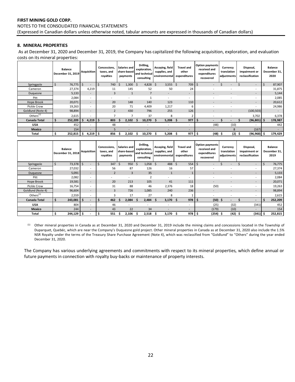## **FIRST MINING GOLD CORP.**  NOTES TO THE CONSOLIDATED FINANCIAL STATEMENTS (Expressed in Canadian dollars unless otherwise noted, tabular amounts are expressed in thousands of Canadian dollars)

# **8. MINERAL PROPERTIES**

As at December 31, 2020 and December 31, 2019, the Company has capitalized the following acquisition, exploration, and evaluation costs on its mineral properties:

|                     | <b>Balance</b><br>December 31, 2019 | <b>Acquisition</b>             | Concessions,<br>taxes, and<br>royalties | Salaries and<br>share-based<br>payments | Drilling,<br>exploration,<br>and technical<br>consulting | Assaying, field<br>supplies, and<br>environmental | <b>Travel and</b><br>other<br>expenditures | <b>Option payments</b><br>received and<br>expenditures<br>recovered | Currency<br>translation<br>adjustments | Disposal,<br>impairment or<br>reclassification | <b>Balance</b><br>December 31,<br>2020 |
|---------------------|-------------------------------------|--------------------------------|-----------------------------------------|-----------------------------------------|----------------------------------------------------------|---------------------------------------------------|--------------------------------------------|---------------------------------------------------------------------|----------------------------------------|------------------------------------------------|----------------------------------------|
| Springpole          | \$<br>76,775                        | -S<br>$\overline{\phantom{0}}$ | 740                                     | 1,300<br>\$                             | 4,828<br>Ŝ.                                              | $3,555$ \$<br>Ŝ.                                  | 709                                        |                                                                     |                                        | $\overline{\phantom{0}}$                       | 87,907                                 |
| Cameron             | 27,374                              | 4,219                          | 11                                      | 145                                     | 52                                                       | 50                                                | 24                                         |                                                                     |                                        | $\overline{\phantom{0}}$                       | 31,875                                 |
| Duquesne            | 5,133                               | $\overline{\phantom{a}}$       | 3                                       |                                         |                                                          | $\overline{\phantom{a}}$                          | ۰.                                         | $\overline{\phantom{a}}$                                            |                                        | -                                              | 5,144                                  |
| Pitt                | 2,084                               | $\overline{\phantom{a}}$       | ۰                                       | $\overline{\phantom{a}}$                |                                                          | $\sim$                                            | $\overline{\phantom{a}}$                   | $\overline{\phantom{a}}$                                            |                                        | $\overline{\phantom{0}}$                       | 2,085                                  |
| Hope Brook          | 20,071                              | $\overline{\phantom{a}}$       | 20                                      | 148                                     | 140                                                      | 123                                               | 110                                        |                                                                     |                                        | -                                              | 20,612                                 |
| Pickle Crow         | 19,263                              | $\overline{\phantom{a}}$       | 20                                      | 71                                      | 4,409                                                    | 1,217                                             | 6                                          |                                                                     |                                        | Ξ.                                             | 24,986                                 |
| Goldlund (Note 4)   | 98,894                              | $\overline{\phantom{a}}$       | $\overline{2}$                          | 430                                     | 796                                                      | 255                                               | 126                                        |                                                                     |                                        | (100, 503)                                     |                                        |
| Others $(1)$        | 2,615                               | $\overline{\phantom{a}}$       |                                         |                                         | 37                                                       | 8                                                 |                                            | $\overline{\phantom{a}}$                                            |                                        | 3,702                                          | 6,378                                  |
| <b>Canada Total</b> | \$<br>252,209                       | 4,219<br>-S                    | 803<br>-S                               | 2.102                                   | 10,270<br>- Ś                                            | 5,208<br>S.                                       | 977<br>- S                                 | s.                                                                  |                                        | $(96,801)$ \$                                  | 178,987                                |
| <b>USA</b>          | 452                                 | $\overline{\phantom{a}}$       | 48                                      | -                                       |                                                          |                                                   | $\overline{\phantom{a}}$                   | (48)                                                                | (10)                                   |                                                | 442                                    |
| <b>Mexico</b>       | 154                                 | $\overline{\phantom{0}}$       |                                         |                                         |                                                          | $\overline{\phantom{0}}$                          | -                                          |                                                                     | 8                                      | (167)                                          | - 1                                    |
| Total               | \$<br>252,815                       | Ŝ.<br>4,219                    | 856<br>-\$                              | 2,102                                   | 10,270<br>.s                                             | 5,208<br>S                                        | 977<br>- S                                 | (48)<br>\$ ا                                                        | $(2)$ \$<br>- Ş                        | (96, 968)                                      | 179,429<br>.\$                         |

|                     | <b>Balance</b><br>December 31, 2018 | Acquisition              | Concessions,<br>taxes, and<br>royalties | Salaries and I<br>share-based l<br>payments | Drilling,<br>exploration,<br>and technical<br>consulting | Assaying, field<br>supplies, and<br>environmental | Travel and<br>other<br>expenditures | <b>Option payments</b><br>received and<br>expenditures<br>recovered | Currency<br>translation<br>adjustments | Disposal,<br>impairment or<br>reclassification | <b>Balance</b><br>December 31,<br>2019 |
|---------------------|-------------------------------------|--------------------------|-----------------------------------------|---------------------------------------------|----------------------------------------------------------|---------------------------------------------------|-------------------------------------|---------------------------------------------------------------------|----------------------------------------|------------------------------------------------|----------------------------------------|
| Springpole          | 73,378                              |                          | 347                                     | 950<br>Ŝ.                                   | 1,058                                                    | 488<br>Ŝ.                                         | 554                                 |                                                                     |                                        |                                                | 76,775                                 |
| Cameron             | 27,032                              | $\overline{\phantom{0}}$ | 56                                      | 87                                          | 126                                                      | 16                                                | 57                                  |                                                                     |                                        | $\overline{\phantom{a}}$                       | 27,374                                 |
| Duquesne            | 5,091                               | $\overline{\phantom{a}}$ | $\overline{2}$                          | 3                                           | 35                                                       | $\mathbf{1}$                                      |                                     | $\overline{\phantom{0}}$                                            | $\overline{\phantom{0}}$               | -                                              | 5,133                                  |
| Pitt                | 2,082                               | $\overline{\phantom{0}}$ | $\overline{a}$                          |                                             | $\overline{\phantom{a}}$                                 | $\overline{\phantom{0}}$                          | $\overline{\phantom{0}}$            |                                                                     |                                        |                                                | 2,084                                  |
| Hope Brook          | 19,581                              | $\overline{\phantom{a}}$ | 20                                      | 213                                         | 105                                                      | 41                                                | 111                                 | $\overline{\phantom{a}}$                                            | $\overline{\phantom{a}}$               | -                                              | 20,071                                 |
| Pickle Crow         | 16,754                              | $\overline{\phantom{0}}$ | 31                                      | 88                                          | 46                                                       | 2,376                                             | 18                                  | (50)                                                                | $\overline{\phantom{0}}$               |                                                | 19,263                                 |
| Goldlund (Note 4)   | 96,604                              |                          | 3                                       | 726                                         | 1,085                                                    | 240                                               | 236                                 | $\overline{\phantom{a}}$                                            |                                        | -                                              | 98,894                                 |
| Others $(1)$        | 2,559                               | $\overline{\phantom{a}}$ |                                         | 17                                          | 27                                                       | 8                                                 |                                     |                                                                     |                                        |                                                | 2,615                                  |
| <b>Canada Total</b> | 243,081<br>S                        | -\$                      | 462<br>ь                                | 2,084<br>э.                                 | 2,484                                                    | 3,170                                             | 978                                 | (50)<br>-5                                                          | - 5                                    |                                                | 252,209<br>S                           |
| <b>USA</b>          | 804                                 | $\overline{\phantom{0}}$ | 46                                      | $\overline{\phantom{0}}$                    |                                                          | $\overline{\phantom{a}}$                          | $\overline{\phantom{a}}$            | (25)                                                                | (32)                                   | (341)                                          | 452                                    |
| <b>Mexico</b>       | 244                                 | $\overline{\phantom{0}}$ | 43                                      | 22                                          | 34                                                       | $\overline{\phantom{0}}$                          | $\sim$                              | (179)                                                               | (10)                                   | $\overline{\phantom{0}}$                       | 154                                    |
| Total               | Ś<br>244,129                        | \$.                      | 551                                     | 2,106                                       | 2,518                                                    | 3,170                                             | $978$ \$                            | (254)                                                               | -\$<br>(42)                            | -\$<br>(341)                                   | 252,815                                |

 (1) Other mineral properties in Canada as at December 31, 2020 and December 31, 2019 include the mining claims and concessions located in the Township of Duparquet, Quebéc, which are near the Company's Duquesne gold project. Other mineral properties in Canada as at December 31, 2020 also include the 1.5% NSR Royalty under the terms of the Treasury Share Purchase Agreement (Note 4), which was reclassified from "Goldlund" to "Others" during the year ended December 31, 2020.

The Company has various underlying agreements and commitments with respect to its mineral properties, which define annual or future payments in connection with royalty buy-backs or maintenance of property interests.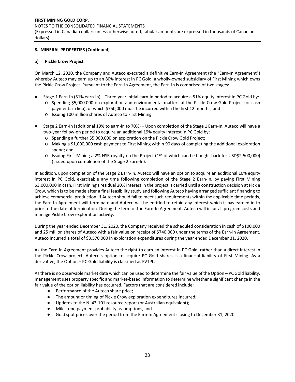#### NOTES TO THE CONSOLIDATED FINANCIAL STATEMENTS

(Expressed in Canadian dollars unless otherwise noted, tabular amounts are expressed in thousands of Canadian dollars)

## **8. MINERAL PROPERTIES (Continued)**

## **a) Pickle Crow Project**

On March 12, 2020, the Company and Auteco executed a definitive Earn-In Agreement (the "Earn-In Agreement") whereby Auteco may earn up to an 80% interest in PC Gold, a wholly-owned subsidiary of First Mining which owns the Pickle Crow Project. Pursuant to the Earn-In Agreement, the Earn-In is comprised of two stages:

- Stage 1 Earn-In (51% earn-in) Three-year initial earn-in period to acquire a 51% equity interest in PC Gold by: o Spending \$5,000,000 on exploration and environmental matters at the Pickle Crow Gold Project (or cash
	- payments in lieu), of which \$750,000 must be incurred within the first 12 months; and
	- o Issuing 100 million shares of Auteco to First Mining.
- Stage 2 Earn-In (additional 19% to earn-in to 70%) Upon completion of the Stage 1 Earn-In, Auteco will have a two-year follow-on period to acquire an additional 19% equity interest in PC Gold by:
	- o Spending a further \$5,000,000 on exploration on the Pickle Crow Gold Project;
	- o Making a \$1,000,000 cash payment to First Mining within 90 days of completing the additional exploration spend; and
	- o Issuing First Mining a 2% NSR royalty on the Project (1% of which can be bought back for USD\$2,500,000) (issued upon completion of the Stage 2 Earn-In).

In addition, upon completion of the Stage 2 Earn-In, Auteco will have an option to acquire an additional 10% equity interest in PC Gold, exercisable any time following completion of the Stage 2 Earn-In, by paying First Mining \$3,000,000 in cash. First Mining's residual 20% interest in the project is carried until a construction decision at Pickle Crow, which is to be made after a final feasibility study and following Auteco having arranged sufficient financing to achieve commercial production. If Auteco should fail to meet such requirements within the applicable time periods, the Earn-In Agreement will terminate and Auteco will be entitled to retain any interest which it has earned-in to prior to the date of termination. During the term of the Earn-In Agreement, Auteco will incur all program costs and manage Pickle Crow exploration activity.

During the year ended December 31, 2020, the Company received the scheduled consideration in cash of \$100,000 and 25 million shares of Auteco with a fair value on receipt of \$740,000 under the terms of the Earn-in Agreement. Auteco incurred a total of \$3,570,000 in exploration expenditures during the year ended December 31, 2020.

As the Earn-In Agreement provides Auteco the right to earn an interest in PC Gold, rather than a direct interest in the Pickle Crow project, Auteco's option to acquire PC Gold shares is a financial liability of First Mining. As a derivative, the Option – PC Gold liability is classified as FVTPL.

As there is no observable market data which can be used to determine the fair value of the Option – PC Gold liability, management uses property specific and market-based information to determine whether a significant change in the fair value of the option liability has occurred. Factors that are considered include:

- Performance of the Auteco share price;
- The amount or timing of Pickle Crow exploration expenditures incurred;
- Updates to the NI 43-101 resource report (or Australian equivalent);
- Milestone payment probability assumptions; and
- Gold spot prices over the period from the Earn-In Agreement closing to December 31, 2020.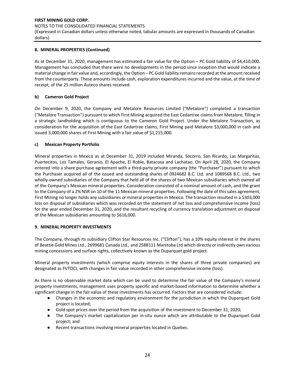(Expressed in Canadian dollars unless otherwise noted, tabular amounts are expressed in thousands of Canadian dollars)

## **8. MINERAL PROPERTIES (Continued)**

As at December 31, 2020, management has estimated a fair value for the Option – PC Gold liability of \$4,410,000. Management has concluded that there were no developments in the period since inception that would indicate a material change in fair value and, accordingly, the Option – PC Gold liability remains recorded at the amount received from the counterparty. These amounts include cash, exploration expenditures incurred and the value, at the time of receipt, of the 25 million Auteco shares received.

# **b) Cameron Gold Project**

On December 9, 2020, the Company and Metalore Resources Limited ("Metalore") completed a transaction ("Metalore Transaction") pursuant to which First Mining acquired the East Cedartree claims from Metalore, filling in a strategic landholding which is contiguous to the Cameron Gold Project. Under the Metalore Transaction, as consideration for the acquisition of the East Cedartree claims, First Mining paid Metalore \$3,000,000 in cash and issued 3,000,000 shares of First Mining with a fair value of \$1,215,000.

# **c) Mexican Property Portfolio**

Mineral properties in Mexico as at December 31, 2019 included Miranda, Socorro, San Ricardo, Las Margaritas, Puertecitos, Los Tamales, Geranio, El Apache, El Roble, Batacosa and Lachatao. On April 28, 2020, the Company entered into a share purchase agreement with a third-party private company (the "Purchaser") pursuant to which the Purchaser acquired all of the issued and outstanding shares of 0924682 B.C. Ltd. and 1089568 B.C. Ltd., two wholly-owned subsidiaries of the Company that held all of the shares of two Mexican subsidiaries which owned all of the Company's Mexican mineral properties. Consideration consisted of a nominal amount of cash, and the grant to the Company of a 2% NSR on 10 of the 11 Mexican mineral properties. Following the date of this sales agreement, First Mining no longer holds any subsidiaries or mineral properties in Mexico. The transaction resulted in a \$303,000 loss on disposal of subsidiaries which was recorded on the statement of net loss and comprehensive income (loss) for the year ended December 31, 2020, and the resultant recycling of currency translation adjustment on disposal of the Mexican subsidiaries amounting to \$616,000.

## **9. MINERAL PROPERTY INVESTMENTS**

The Company, through its subsidiary Clifton Star Resources Inc. ("Clifton"), has a 10% equity interest in the shares of Beattie Gold Mines Ltd., 2699681 Canada Ltd., and 2588111 Manitoba Ltd which directly or indirectly own various mining concessions and surface rights, collectively known as the Duparquet gold project.

Mineral property investments (which comprise equity interests in the shares of three private companies) are designated as FVTOCI, with changes in fair value recorded in other comprehensive income (loss).

As there is no observable market data which can be used to determine the fair value of the Company's mineral property investments, management uses property specific and market-based information to determine whether a significant change in the fair value of these investments has occurred. Factors that are considered include:

- Changes in the economic and regulatory environment for the jurisdiction in which the Duparquet Gold project is located;
- Gold spot prices over the period from the acquisition of the investment to December 31, 2020;
- The Company's market capitalization per in-situ ounce which are attributable to the Duparquet Gold project; and
- Recent transactions involving mineral properties located in Quebec.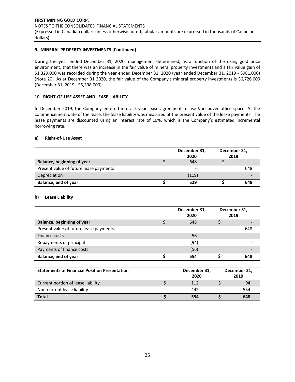## **9. MINERAL PROPERTY INVESTMENTS (Continued)**

During the year ended December 31, 2020, management determined, as a function of the rising gold price environment, that there was an increase in the fair value of mineral property investments and a fair value gain of \$1,329,000 was recorded during the year ended December 31, 2020 (year ended December 31, 2019 - \$981,000) (Note 20). As at December 31 2020, the fair value of the Company's mineral property investments is \$6,726,000 (December 31, 2019 - \$5,398,000).

#### **10. RIGHT-OF-USE ASSET AND LEASE LIABILITY**

In December 2019, the Company entered into a 5-year lease agreement to use Vancouver office space. At the commencement date of the lease, the lease liability was measured at the present value of the lease payments. The lease payments are discounted using an interest rate of 10%, which is the Company's estimated incremental borrowing rate.

## **a) Right-of-Use Asset**

|                                        | December 31, | December 31, |     |
|----------------------------------------|--------------|--------------|-----|
|                                        | 2020         | 2019         |     |
| <b>Balance, beginning of year</b>      | 648          |              |     |
| Present value of future lease payments | -            |              | 648 |
| Depreciation                           | (119)        |              |     |
| Balance, end of year                   | 529          |              | 648 |

#### **b) Lease Liability**

|                                        | December 31,<br>2020 | December 31,<br>2019 |
|----------------------------------------|----------------------|----------------------|
| Balance, beginning of year             | 648                  |                      |
| Present value of future lease payments | -                    | 648                  |
| Finance costs                          | 56                   |                      |
| Repayments of principal                | (94)                 |                      |
| Payments of finance costs              | (56)                 |                      |
| Balance, end of year                   | 554                  | 648                  |
|                                        |                      |                      |

| <b>Statements of Financial Position Presentation</b> | December 31,<br>2020 | December 31,<br>2019 |
|------------------------------------------------------|----------------------|----------------------|
| Current portion of lease liability                   | 112                  | 94                   |
| Non-current lease liability                          | 442                  | 554                  |
| <b>Total</b>                                         | 554                  | 648                  |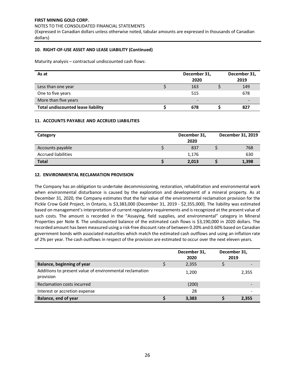NOTES TO THE CONSOLIDATED FINANCIAL STATEMENTS

(Expressed in Canadian dollars unless otherwise noted, tabular amounts are expressed in thousands of Canadian dollars)

## **10. RIGHT-OF-USE ASSET AND LEASE LIABILITY (Continued)**

Maturity analysis – contractual undiscounted cash flows:

| As at                                     | December 31,<br>2020 | December 31,<br>2019 |
|-------------------------------------------|----------------------|----------------------|
| Less than one year                        | 163                  | 149                  |
| One to five years                         | 515                  | 678                  |
| More than five years                      | -                    |                      |
| <b>Total undiscounted lease liability</b> | 678                  | 827                  |

## **11. ACCOUNTS PAYABLE AND ACCRUED LIABILITIES**

| Category                   | December 31,<br>2020 | December 31, 2019 |
|----------------------------|----------------------|-------------------|
| Accounts payable           | 837                  | 768               |
| <b>Accrued liabilities</b> | 1,176                | 630               |
| <b>Total</b>               | 2,013                | 1,398             |

## **12. ENVIRONMENTAL RECLAMATION PROVISION**

The Company has an obligation to undertake decommissioning, restoration, rehabilitation and environmental work when environmental disturbance is caused by the exploration and development of a mineral property. As at December 31, 2020, the Company estimates that the fair value of the environmental reclamation provision for the Pickle Crow Gold Project, in Ontario, is \$3,383,000 (December 31, 2019 - \$2,355,000). The liability was estimated based on management's interpretation of current regulatory requirements and is recognized at the present value of such costs. The amount is recorded in the "Assaying, field supplies, and environmental" category in Mineral Properties per Note 8. The undiscounted balance of the estimated cash flows is \$3,190,000 in 2020 dollars. The recorded amount has been measured using a risk-free discount rate of between 0.20% and 0.60% based on Canadian government bonds with associated maturities which match the estimated cash outflows and using an inflation rate of 2% per year. The cash outflows in respect of the provision are estimated to occur over the next eleven years.

|                                                                      | December 31,<br>2020 | December 31,<br>2019 |
|----------------------------------------------------------------------|----------------------|----------------------|
| Balance, beginning of year                                           | 2,355                |                      |
| Additions to present value of environmental reclamation<br>provision | 1,200                | 2,355                |
| Reclamation costs incurred                                           | (200)                |                      |
| Interest or accretion expense                                        | 28                   |                      |
| Balance, end of year                                                 | 3,383                | 2,355                |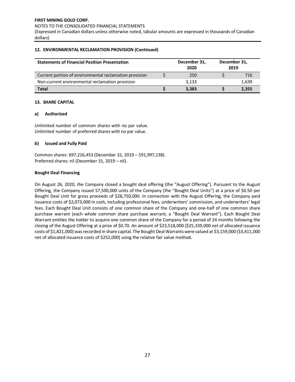(Expressed in Canadian dollars unless otherwise noted, tabular amounts are expressed in thousands of Canadian dollars)

## **12. ENVIRONMENTAL RECLAMATION PROVISION (Continued)**

| <b>Statements of Financial Position Presentation</b>   | December 31,<br>2020 | December 31,<br>2019 |       |
|--------------------------------------------------------|----------------------|----------------------|-------|
| Current portion of environmental reclamation provision |                      | 250                  | 716   |
| Non-current environmental reclamation provision        |                      | 3.133                | 1,639 |
| <b>Total</b>                                           |                      | 3,383                | 2,355 |

## **13. SHARE CAPITAL**

## **a) Authorized**

Unlimited number of common shares with no par value. Unlimited number of preferred shares with no par value.

## **b) Issued and Fully Paid**

Common shares: 697,216,453 (December 31, 2019 – 591,997,138). Preferred shares: nil (December 31, 2019 – nil).

## **Bought Deal Financing**

On August 26, 2020, the Company closed a bought deal offering (the "August Offering"). Pursuant to the August Offering, the Company issued 57,500,000 units of the Company (the "Bought Deal Units") at a price of \$0.50 per Bought Deal Unit for gross proceeds of \$28,750,000. In connection with the August Offering, the Company paid issuance costs of \$2,073,000 in cash, including professional fees, underwriters' commission, and underwriters' legal fees. Each Bought Deal Unit consists of one common share of the Company and one-half of one common share purchase warrant (each whole common share purchase warrant, a "Bought Deal Warrant"). Each Bought Deal Warrant entitles the holder to acquire one common share of the Company for a period of 24 months following the closing of the August Offering at a price of \$0.70. An amount of \$23,518,000 (\$25,339,000 net of allocated issuance costs of \$1,821,000) was recorded in share capital. The Bought Deal Warrants were valued at \$3,159,000 (\$3,411,000 net of allocated issuance costs of \$252,000) using the relative fair value method.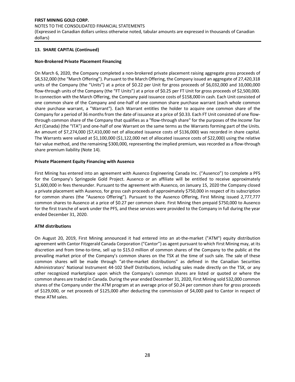#### NOTES TO THE CONSOLIDATED FINANCIAL STATEMENTS

(Expressed in Canadian dollars unless otherwise noted, tabular amounts are expressed in thousands of Canadian dollars)

## **13. SHARE CAPITAL (Continued)**

## **Non-Brokered Private Placement Financing**

On March 6, 2020, the Company completed a non-brokered private placement raising aggregate gross proceeds of \$8,532,000 (the "March Offering"). Pursuant to the March Offering, the Company issued an aggregate of 27,420,318 units of the Company (the "Units") at a price of \$0.22 per Unit for gross proceeds of \$6,032,000 and 10,000,000 flow-through units of the Company (the "FT Units") at a price of \$0.25 per FT Unit for gross proceeds of \$2,500,000. In connection with the March Offering, the Company paid issuance costs of \$158,000 in cash. Each Unit consisted of one common share of the Company and one-half of one common share purchase warrant (each whole common share purchase warrant, a "Warrant"). Each Warrant entitles the holder to acquire one common share of the Company for a period of 36 months from the date of issuance at a price of \$0.33. Each FT Unit consisted of one flowthrough common share of the Company that qualifies as a "flow-through share" for the purposes of the *Income Tax Act* (Canada) (the "ITA") and one-half of one Warrant on the same terms as the Warrants forming part of the Units. An amount of \$7,274,000 (\$7,410,000 net of allocated issuance costs of \$136,000) was recorded in share capital. The Warrants were valued at \$1,100,000 (\$1,122,000 net of allocated issuance costs of \$22,000) using the relative fair value method, and the remaining \$300,000, representing the implied premium, was recorded as a flow-through share premium liability (Note 14).

## **Private Placement Equity Financing with Ausenco**

First Mining has entered into an agreement with Ausenco Engineering Canada Inc. ("Ausenco") to complete a PFS for the Company's Springpole Gold Project. Ausenco or an affiliate will be entitled to receive approximately \$1,600,000 in fees thereunder. Pursuant to the agreement with Ausenco, on January 15, 2020 the Company closed a private placement with Ausenco, for gross cash proceeds of approximately \$750,000 in respect of its subscription for common shares (the "Ausenco Offering"). Pursuant to the Ausenco Offering, First Mining issued 2,777,777 common shares to Ausenco at a price of \$0.27 per common share. First Mining then prepaid \$750,000 to Ausenco for the first tranche of work under the PFS, and these services were provided to the Company in full during the year ended December 31, 2020.

#### **ATM distributions**

On August 20, 2019, First Mining announced it had entered into an at-the-market ("ATM") equity distribution agreement with Cantor Fitzgerald Canada Corporation ("Cantor") as agent pursuant to which First Mining may, at its discretion and from time-to-time, sell up to \$15.0 million of common shares of the Company to the public at the prevailing market price of the Company's common shares on the TSX at the time of such sale. The sale of these common shares will be made through "at-the-market distributions" as defined in the Canadian Securities Administrators' National Instrument 44-102 Shelf Distributions, including sales made directly on the TSX, or any other recognized marketplace upon which the Company's common shares are listed or quoted or where the common shares are traded in Canada. During the year ended December 31, 2020, First Mining sold 532,000 common shares of the Company under the ATM program at an average price of \$0.24 per common share for gross proceeds of \$129,000, or net proceeds of \$125,000 after deducting the commission of \$4,000 paid to Cantor in respect of these ATM sales.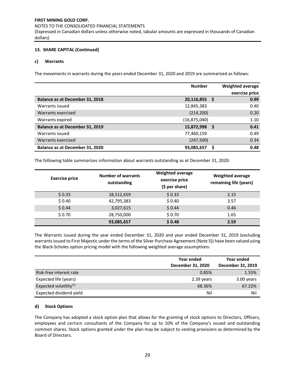## NOTES TO THE CONSOLIDATED FINANCIAL STATEMENTS

(Expressed in Canadian dollars unless otherwise noted, tabular amounts are expressed in thousands of Canadian dollars)

## **13. SHARE CAPITAL (Continued)**

## **c) Warrants**

The movements in warrants during the years ended December 31, 2020 and 2019 are summarized as follows:

|                                 | <b>Number</b>  |     | Weighted average |
|---------------------------------|----------------|-----|------------------|
|                                 |                |     | exercise price   |
| Balance as at December 31, 2018 | 20,116,855     | - S | 0.99             |
| Warrants issued                 | 12,845,383     |     | 0.40             |
| Warrants exercised              | (214, 200)     |     | 0.20             |
| Warrants expired                | (16, 875, 040) |     | 1.10             |
| Balance as at December 31, 2019 | 15,872,998     | S   | 0.41             |
| Warrants issued                 | 77,460,159     |     | 0.49             |
| Warrants exercised              | (247, 500)     |     | 0.34             |
| Balance as at December 31, 2020 | 93,085,657     |     | 0.48             |

The following table summarizes information about warrants outstanding as at December 31, 2020:

| <b>Exercise price</b> | <b>Number of warrants</b><br>outstanding | <b>Weighted average</b><br>exercise price<br>(\$ per share) | <b>Weighted average</b><br>remaining life (years) |
|-----------------------|------------------------------------------|-------------------------------------------------------------|---------------------------------------------------|
| \$0.33                | 18,512,659                               | \$0.33                                                      | 2.15                                              |
| \$0.40                | 42,795,383                               | \$0.40                                                      | 3.57                                              |
| \$0.44                | 3,027,615                                | \$0.44                                                      | 0.46                                              |
| \$0.70                | 28,750,000                               | \$0.70                                                      | 1.65                                              |
|                       | 93,085,657                               | \$0.48                                                      | 2.59                                              |

The Warrants issued during the year ended December 31, 2020 and year ended December 31, 2019 (excluding warrants issued to First Majestic under the terms of the Silver Purchase Agreement (Note 5)) have been valued using the Black-Scholes option pricing model with the following weighted average assumptions:

|                                    | Year ended<br>December 31, 2020 | Year ended<br>December 31, 2019 |
|------------------------------------|---------------------------------|---------------------------------|
| Risk-free interest rate            | 0.85%                           | 1.55%                           |
| Expected life (years)              | 2.39 years                      | 3.00 years                      |
| Expected volatility <sup>(1)</sup> | 68.36%                          | 67.22%                          |
| Expected dividend yield            | Nil                             | Nil                             |

## **d) Stock Options**

The Company has adopted a stock option plan that allows for the granting of stock options to Directors, Officers, employees and certain consultants of the Company for up to 10% of the Company's issued and outstanding common shares. Stock options granted under the plan may be subject to vesting provisions as determined by the Board of Directors.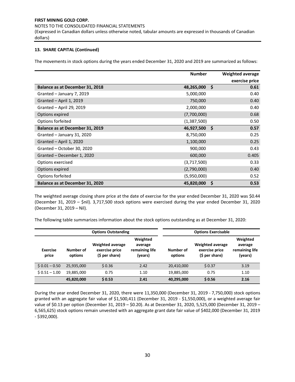#### NOTES TO THE CONSOLIDATED FINANCIAL STATEMENTS

(Expressed in Canadian dollars unless otherwise noted, tabular amounts are expressed in thousands of Canadian dollars)

## **13. SHARE CAPITAL (Continued)**

The movements in stock options during the years ended December 31, 2020 and 2019 are summarized as follows:

|                                        | <b>Number</b> |    | Weighted average |
|----------------------------------------|---------------|----|------------------|
|                                        |               |    | exercise price   |
| Balance as at December 31, 2018        | 48,265,000    | Ŝ. | 0.61             |
| Granted - January 7, 2019              | 5,000,000     |    | 0.40             |
| Granted - April 1, 2019                | 750,000       |    | 0.40             |
| Granted - April 29, 2019               | 2,000,000     |    | 0.40             |
| Options expired                        | (7,700,000)   |    | 0.68             |
| Options forfeited                      | (1, 387, 500) |    | 0.50             |
| <b>Balance as at December 31, 2019</b> | 46,927,500    | Ŝ. | 0.57             |
| Granted - January 31, 2020             | 8,750,000     |    | 0.25             |
| Granted - April 1, 2020                | 1,100,000     |    | 0.25             |
| Granted - October 30, 2020             | 900,000       |    | 0.43             |
| Granted - December 1, 2020             | 600,000       |    | 0.405            |
| Options exercised                      | (3,717,500)   |    | 0.33             |
| Options expired                        | (2,790,000)   |    | 0.40             |
| Options forfeited                      | (5,950,000)   |    | 0.52             |
| Balance as at December 31, 2020        | 45,820,000    | Ś  | 0.53             |

The weighted average closing share price at the date of exercise for the year ended December 31, 2020 was \$0.44 (December 31, 2019 – \$nil). 3,717,500 stock options were exercised during the year ended December 31, 2020 (December 31, 2019 – Nil).

The following table summarizes information about the stock options outstanding as at December 31, 2020:

|                   |                      | <b>Options Outstanding</b>                                  | <b>Options Exercisable</b>                       |                      |                                                             |                                                  |  |
|-------------------|----------------------|-------------------------------------------------------------|--------------------------------------------------|----------------------|-------------------------------------------------------------|--------------------------------------------------|--|
| Exercise<br>price | Number of<br>options | <b>Weighted average</b><br>exercise price<br>(\$ per share) | Weighted<br>average<br>remaining life<br>(years) | Number of<br>options | <b>Weighted average</b><br>exercise price<br>(\$ per share) | Weighted<br>average<br>remaining life<br>(years) |  |
| $$0.01 - 0.50$    | 25,935,000           | \$0.36                                                      | 2.42                                             | 20,410,000           | \$0.37                                                      | 3.19                                             |  |
| $$0.51 - 1.00$    | 19,885,000           | 0.75                                                        | 1.10                                             | 19,885,000           | 0.75                                                        | 1.10                                             |  |
|                   | 45,820,000           | $S$ 0.53                                                    | 2.41                                             | 40,295,000           | \$0.56                                                      | 2.16                                             |  |

During the year ended December 31, 2020, there were 11,350,000 (December 31, 2019 - 7,750,000) stock options granted with an aggregate fair value of \$1,500,411 (December 31, 2019 - \$1,550,000), or a weighted average fair value of \$0.13 per option (December 31, 2019 – \$0.20). As at December 31, 2020, 5,525,000 (December 31, 2019 – 6,565,625) stock options remain unvested with an aggregate grant date fair value of \$402,000 (December 31, 2019 - \$392,000).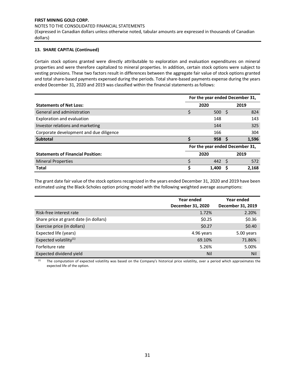#### NOTES TO THE CONSOLIDATED FINANCIAL STATEMENTS

(Expressed in Canadian dollars unless otherwise noted, tabular amounts are expressed in thousands of Canadian dollars)

## **13. SHARE CAPITAL (Continued)**

Certain stock options granted were directly attributable to exploration and evaluation expenditures on mineral properties and were therefore capitalized to mineral properties. In addition, certain stock options were subject to vesting provisions. These two factors result in differences between the aggregate fair value of stock options granted and total share-based payments expensed during the periods. Total share-based payments expense during the years ended December 31, 2020 and 2019 was classified within the financial statements as follows:

|                                          | For the year ended December 31, |                                 |              |       |  |
|------------------------------------------|---------------------------------|---------------------------------|--------------|-------|--|
| <b>Statements of Net Loss:</b>           |                                 | 2020                            |              | 2019  |  |
| General and administration               |                                 | 500                             | -S           | 824   |  |
| Exploration and evaluation               |                                 | 148                             |              | 143   |  |
| Investor relations and marketing         |                                 | 144                             |              | 325   |  |
| Corporate development and due diligence  |                                 | 166                             |              | 304   |  |
| <b>Subtotal</b>                          |                                 | 958                             | S            | 1,596 |  |
|                                          |                                 | For the year ended December 31, |              |       |  |
| <b>Statements of Financial Position:</b> | 2020<br>2019                    |                                 |              |       |  |
| <b>Mineral Properties</b>                |                                 | 442                             | <sub>S</sub> | 572   |  |
| <b>Total</b>                             |                                 | 1.400                           |              | 2,168 |  |

The grant date fair value of the stock options recognized in the years ended December 31, 2020 and 2019 have been estimated using the Black-Scholes option pricing model with the following weighted average assumptions:

|                                        | Year ended<br>December 31, 2020 | Year ended<br>December 31, 2019 |
|----------------------------------------|---------------------------------|---------------------------------|
| Risk-free interest rate                | 1.72%                           | 2.20%                           |
| Share price at grant date (in dollars) | \$0.25                          | \$0.36                          |
| Exercise price (in dollars)            | \$0.27                          | \$0.40                          |
| Expected life (years)                  | 4.96 years                      | 5.00 years                      |
| Expected volatility <sup>(1)</sup>     | 69.10%                          | 71.86%                          |
| Forfeiture rate                        | 5.26%                           | 5.00%                           |
| Expected dividend yield                | Nil                             | Nil                             |

(1) The computation of expected volatility was based on the Company's historical price volatility, over a period which approximates the expected life of the option.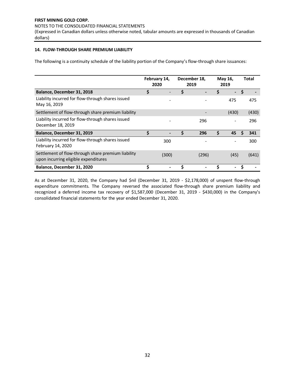#### NOTES TO THE CONSOLIDATED FINANCIAL STATEMENTS

(Expressed in Canadian dollars unless otherwise noted, tabular amounts are expressed in thousands of Canadian dollars)

## **14. FLOW-THROUGH SHARE PREMIUM LIABILITY**

The following is a continuity schedule of the liability portion of the Company's flow-through share issuances:

|                                                                                            | February 14,<br>2020 |       | December 18,<br>2019 |    | May 16,<br>2019          | <b>Total</b> |
|--------------------------------------------------------------------------------------------|----------------------|-------|----------------------|----|--------------------------|--------------|
| Balance, December 31, 2018                                                                 | \$                   |       | \$                   | \$ | $\overline{\phantom{0}}$ | S            |
| Liability incurred for flow-through shares issued<br>May 16, 2019                          |                      |       |                      |    | 475                      | 475          |
| Settlement of flow-through share premium liability                                         |                      |       |                      |    | (430)                    | (430)        |
| Liability incurred for flow-through shares issued<br>December 18, 2019                     |                      |       | 296                  |    |                          | 296          |
| Balance, December 31, 2019                                                                 | \$                   |       | \$<br>296            | \$ | 45                       | S<br>341     |
| Liability incurred for flow-through shares issued<br>February 14, 2020                     |                      | 300   |                      |    |                          | 300          |
| Settlement of flow-through share premium liability<br>upon incurring eligible expenditures |                      | (300) | (296)                |    | (45)                     | (641)        |
| Balance, December 31, 2020                                                                 | Ś                    |       |                      | Ś  |                          | S            |

As at December 31, 2020, the Company had \$nil (December 31, 2019 - \$2,178,000) of unspent flow-through expenditure commitments. The Company reversed the associated flow-through share premium liability and recognized a deferred income tax recovery of \$1,587,000 (December 31, 2019 - \$430,000) in the Company's consolidated financial statements for the year ended December 31, 2020.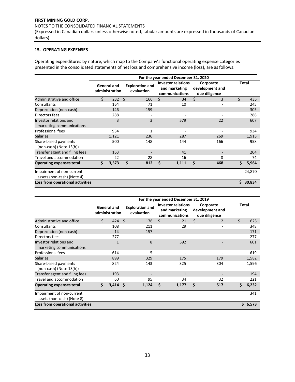## NOTES TO THE CONSOLIDATED FINANCIAL STATEMENTS

(Expressed in Canadian dollars unless otherwise noted, tabular amounts are expressed in thousands of Canadian dollars)

#### **15. OPERATING EXPENSES**

Operating expenditures by nature, which map to the Company's functional operating expense categories presented in the consolidated statements of net loss and comprehensive income (loss), are as follows:

|                                                         |                               |       |     |                                      |    | For the year ended December 31, 2020                         |    |                                               |    |              |
|---------------------------------------------------------|-------------------------------|-------|-----|--------------------------------------|----|--------------------------------------------------------------|----|-----------------------------------------------|----|--------------|
|                                                         | General and<br>administration |       |     | <b>Exploration and</b><br>evaluation |    | <b>Investor relations</b><br>and marketing<br>communications |    | Corporate<br>development and<br>due diligence |    | <b>Total</b> |
| Administrative and office                               | \$                            | 232   | - Ś | 166                                  | Ś. | 34                                                           | \$ | 3                                             | Ś. | 435          |
| Consultants                                             |                               | 164   |     | 71                                   |    | 10                                                           |    | ٠                                             |    | 245          |
| Depreciation (non-cash)                                 |                               | 146   |     | 159                                  |    |                                                              |    |                                               |    | 305          |
| Directors fees                                          |                               | 288   |     |                                      |    |                                                              |    |                                               |    | 288          |
| Investor relations and<br>marketing communications      |                               | 3     |     | 3                                    |    | 579                                                          |    | 22                                            |    | 607          |
| Professional fees                                       |                               | 934   |     | 1                                    |    |                                                              |    |                                               |    | 934          |
| <b>Salaries</b>                                         |                               | 1,121 |     | 236                                  |    | 287                                                          |    | 269                                           |    | 1,913        |
| Share-based payments<br>$(non-cash)$ (Note 13(h))       |                               | 500   |     | 148                                  |    | 144                                                          |    | 166                                           |    | 958          |
| Transfer agent and filing fees                          |                               | 163   |     |                                      |    | 41                                                           |    |                                               |    | 204          |
| Travel and accommodation                                |                               | 22    |     | 28                                   |    | 16                                                           |    | 8                                             |    | 74           |
| <b>Operating expenses total</b>                         | \$                            | 3,573 | Ś.  | 812                                  | Ś  | 1,111                                                        | Ś  | 468                                           | \$ | 5,964        |
| Impairment of non-current<br>assets (non-cash) (Note 4) |                               |       |     |                                      |    |                                                              |    |                                               |    | 24,870       |
| Loss from operational activities                        |                               |       |     |                                      |    |                                                              |    |                                               | Ś. | 30,834       |

|                                                         |                                      |      |                                      |    | For the year ended December 31, 2019                         |    |                                               |              |         |
|---------------------------------------------------------|--------------------------------------|------|--------------------------------------|----|--------------------------------------------------------------|----|-----------------------------------------------|--------------|---------|
|                                                         | <b>General and</b><br>administration |      | <b>Exploration and</b><br>evaluation |    | <b>Investor relations</b><br>and marketing<br>communications |    | Corporate<br>development and<br>due diligence | <b>Total</b> |         |
| Administrative and office                               | \$<br>424                            | -Ś   | 176                                  | Ś. | 21                                                           | Ś. | $\overline{2}$                                | Ś.           | 623     |
| Consultants                                             | 108                                  |      | 211                                  |    | 29                                                           |    | ۰                                             |              | 348     |
| Depreciation (non-cash)                                 | 14                                   |      | 157                                  |    |                                                              |    |                                               |              | 171     |
| Directors fees                                          | 277                                  |      |                                      |    |                                                              |    |                                               |              | 277     |
| Investor relations and<br>marketing communications      | $\overline{1}$                       |      | 8                                    |    | 592                                                          |    |                                               |              | 601     |
| <b>Professional fees</b>                                | 614                                  |      | 5                                    |    |                                                              |    |                                               |              | 619     |
| <b>Salaries</b>                                         | 899                                  |      | 329                                  |    | 175                                                          |    | 179                                           |              | 1,582   |
| Share-based payments<br>$(non-cash)$ (Note 13(h))       | 824                                  |      | 143                                  |    | 325                                                          |    | 304                                           |              | 1,596   |
| Transfer agent and filing fees                          | 193                                  |      |                                      |    | 1                                                            |    |                                               |              | 194     |
| Travel and accommodation                                | 60                                   |      | 95                                   |    | 34                                                           |    | 32                                            |              | 221     |
| <b>Operating expenses total</b>                         | \$<br>3,414                          | - \$ | 1,124                                | Ś  | 1,177                                                        | Ś  | 517                                           | \$           | 6,232   |
| Impairment of non-current<br>assets (non-cash) (Note 8) |                                      |      |                                      |    |                                                              |    |                                               |              | 341     |
| Loss from operational activities                        |                                      |      |                                      |    |                                                              |    |                                               |              | \$6,573 |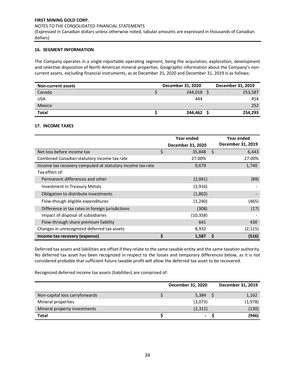#### NOTES TO THE CONSOLIDATED FINANCIAL STATEMENTS

(Expressed in Canadian dollars unless otherwise noted, tabular amounts are expressed in thousands of Canadian dollars)

## **16. SEGMENT INFORMATION**

The Company operates in a single reportable operating segment, being the acquisition, exploration, development and selective disposition of North American mineral properties. Geographic information about the Company's noncurrent assets, excluding financial instruments, as at December 31, 2020 and December 31, 2019 is as follows:

| <b>Non-current assets</b> | December 31, 2020 | December 31, 2019 |
|---------------------------|-------------------|-------------------|
| Canada                    | 244.018           | 253,587           |
| USA                       | 444               | 454               |
| Mexico                    | -                 | 252               |
| <b>Total</b>              | 244,462           | 254,293           |

## **17. INCOME TAXES**

|                                                           | Year ended        |    | Year ended        |
|-----------------------------------------------------------|-------------------|----|-------------------|
|                                                           | December 31, 2020 |    | December 31, 2019 |
| Net loss before income tax                                | \$<br>35,848      | Ŝ. | 6,443             |
| Combined Canadian statutory income tax rate               | 27.00%            |    | 27.00%            |
| Income tax recovery computed at statutory income tax rate | 9,679             |    | 1,740             |
| Tax effect of:                                            |                   |    |                   |
| Permanent differences and other                           | (2,041)           |    | (89)              |
| Investment in Treasury Metals                             | (1,916)           |    |                   |
| Obligation to distribute investments                      | (1,802)           |    |                   |
| Flow-though eligible expenditures                         | (1,240)           |    | (465)             |
| Difference in tax rates in foreign jurisdictions          | (308)             |    | (17)              |
| Impact of disposal of subsidiaries                        | (10, 358)         |    |                   |
| Flow-through share premium liability                      | 641               |    | 430               |
| Changes in unrecognized deferred tax assets               | 8,932             |    | (2, 115)          |
| Income tax recovery (expense)                             | \$<br>1,587       |    | (516)             |

Deferred tax assets and liabilities are offset if they relate to the same taxable entity and the same taxation authority. No deferred tax asset has been recognized in respect to the losses and temporary differences below, as it is not considered probable that sufficient future taxable profit will allow the deferred tax asset to be recovered.

Recognized deferred income tax assets (liabilities) are comprised of:

|                                | December 31, 2020 | December 31, 2019 |
|--------------------------------|-------------------|-------------------|
| Non-capital loss carryforwards | 5,384             | 1,162             |
| Mineral properties             | (3,073)           | (1,978)           |
| Mineral property investments   | (2,311)           | (130)             |
| Total                          | $\blacksquare$    | (946)             |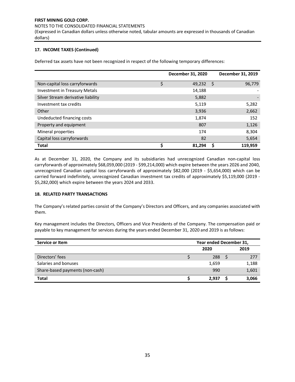#### NOTES TO THE CONSOLIDATED FINANCIAL STATEMENTS

(Expressed in Canadian dollars unless otherwise noted, tabular amounts are expressed in thousands of Canadian dollars)

## **17. INCOME TAXES (Continued)**

Deferred tax assets have not been recognized in respect of the following temporary differences:

|                                      |    | December 31, 2020 |    | December 31, 2019 |
|--------------------------------------|----|-------------------|----|-------------------|
| Non-capital loss carryforwards       | \$ | 49,232            | -S | 96,779            |
| <b>Investment in Treasury Metals</b> |    | 14,188            |    |                   |
| Silver Stream derivative liability   |    | 5,882             |    |                   |
| Investment tax credits               |    | 5,119             |    | 5,282             |
| Other                                |    | 3,936             |    | 2,662             |
| Undeducted financing costs           |    | 1,874             |    | 152               |
| Property and equipment               |    | 807               |    | 1,126             |
| Mineral properties                   |    | 174               |    | 8,304             |
| Capital loss carryforwards           |    | 82                |    | 5,654             |
| <b>Total</b>                         | Ś  | 81.294            |    | 119.959           |

As at December 31, 2020, the Company and its subsidiaries had unrecognized Canadian non-capital loss carryforwards of approximately \$68,059,000 (2019 - \$99,214,000) which expire between the years 2026 and 2040, unrecognized Canadian capital loss carryforwards of approximately \$82,000 (2019 - \$5,654,000) which can be carried forward indefinitely, unrecognized Canadian investment tax credits of approximately \$5,119,000 (2019 - \$5,282,000) which expire between the years 2024 and 2033.

## **18. RELATED PARTY TRANSACTIONS**

The Company's related parties consist of the Company's Directors and Officers, and any companies associated with them.

Key management includes the Directors, Officers and Vice Presidents of the Company. The compensation paid or payable to key management for services during the years ended December 31, 2020 and 2019 is as follows:

| Service or Item                 | Year ended December 31, |  |       |  |  |  |
|---------------------------------|-------------------------|--|-------|--|--|--|
|                                 | 2020                    |  | 2019  |  |  |  |
| Directors' fees                 | 288                     |  | 277   |  |  |  |
| Salaries and bonuses            | 1,659                   |  | 1,188 |  |  |  |
| Share-based payments (non-cash) | 990                     |  | 1,601 |  |  |  |
| <b>Total</b>                    | 2.937                   |  | 3,066 |  |  |  |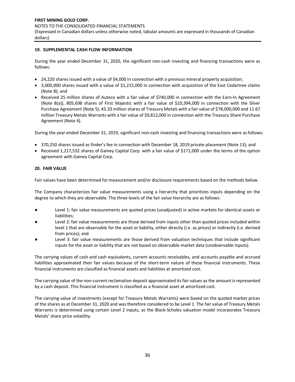## **19. SUPPLEMENTAL CASH FLOW INFORMATION**

During the year ended December 31, 2020, the significant non-cash investing and financing transactions were as follows:

- 24,220 shares issued with a value of \$4,000 in connection with a previous mineral property acquisition;
- 3,000,000 shares issued with a value of \$1,215,000 in connection with acquisition of the East Cedartree claims (Note 8); and
- Received 25 million shares of Auteco with a fair value of \$740,000 in connection with the Earn-In Agreement (Note 8(a)), 805,698 shares of First Majestic with a fair value of \$10,394,000 in connection with the Silver Purchase Agreement (Note 5), 43.33 million shares of Treasury Metals with a fair value of \$78,000,000 and 11.67 million Treasury Metals Warrants with a fair value of \$9,812,000 in connection with the Treasury Share Purchase Agreement (Note 4).

During the year ended December 31, 2019, significant non-cash investing and financing transactions were as follows:

- 370,250 shares issued as finder's fee in connection with December 18, 2019 private placement (Note 13); and
- Received 1,217,532 shares of Gainey Capital Corp. with a fair value of \$171,000 under the terms of the option agreement with Gainey Capital Corp.

## **20. FAIR VALUE**

Fair values have been determined for measurement and/or disclosure requirements based on the methods below.

The Company characterizes fair value measurements using a hierarchy that prioritizes inputs depending on the degree to which they are observable. The three levels of the fair value hierarchy are as follows:

- Level 1: fair value measurements are quoted prices (unadjusted) in active markets for identical assets or liabilities;
- Level 2: fair value measurements are those derived from inputs other than quoted prices included within level 1 that are observable for the asset or liability, either directly (i.e. as prices) or indirectly (i.e. derived from prices); and
- Level 3: fair value measurements are those derived from valuation techniques that include significant inputs for the asset or liability that are not based on observable market data (unobservable inputs).

The carrying values of cash and cash equivalents, current accounts receivables, and accounts payable and accrued liabilities approximated their fair values because of the short-term nature of these financial instruments. These financial instruments are classified as financial assets and liabilities at amortized cost.

The carrying value of the non-current reclamation deposit approximated its fair values as the amount is represented by a cash deposit. This financial instrument is classified as a financial asset at amortized cost.

The carrying value of investments (except for Treasury Metals Warrants) were based on the quoted market prices of the shares as at December 31, 2020 and was therefore considered to be Level 1. The fair value of Treasury Metals Warrants is determined using certain Level 2 inputs, as the Black-Scholes valuation model incorporates Treasury Metals' share price volatility.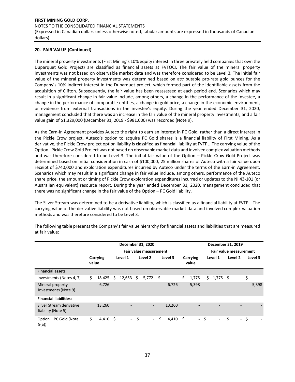## **20. FAIR VALUE (Continued)**

The mineral property investments (First Mining's 10% equity interest in three privately held companies that own the Duparquet Gold Project) are classified as financial assets at FVTOCI. The fair value of the mineral property investments was not based on observable market data and was therefore considered to be Level 3. The initial fair value of the mineral property investments was determined based on attributable pro-rata gold ounces for the Company's 10% indirect interest in the Duparquet project, which formed part of the identifiable assets from the acquisition of Clifton. Subsequently, the fair value has been reassessed at each period end. Scenarios which may result in a significant change in fair value include, among others, a change in the performance of the investee, a change in the performance of comparable entities, a change in gold price, a change in the economic environment, or evidence from external transactions in the investee's equity. During the year ended December 31, 2020, management concluded that there was an increase in the fair value of the mineral property investments, and a fair value gain of \$1,329,000 (December 31, 2019 - \$981,000) was recorded (Note 9).

As the Earn-In Agreement provides Auteco the right to earn an interest in PC Gold, rather than a direct interest in the Pickle Crow project, Auteco's option to acquire PC Gold shares is a financial liability of First Mining. As a derivative, the Pickle Crow project option liability is classified as financial liability at FVTPL. The carrying value of the Option - Pickle Crow Gold Project was not based on observable market data and involved complex valuation methods and was therefore considered to be Level 3. The initial fair value of the Option – Pickle Crow Gold Project was determined based on initial consideration in cash of \$100,000, 25 million shares of Auteco with a fair value upon receipt of \$740,000 and exploration expenditures incurred by Auteco under the terms of the Earn-in Agreement. Scenarios which may result in a significant change in fair value include, among others, performance of the Auteco share price, the amount or timing of Pickle Crow exploration expenditures incurred or updates to the NI 43-101 (or Australian equivalent) resource report. During the year ended December 31, 2020, management concluded that there was no significant change in the fair value of the Option – PC Gold liability.

The Silver Stream was determined to be a derivative liability, which is classified as a financial liability at FVTPL. The carrying value of the derivative liability was not based on observable market data and involved complex valuation methods and was therefore considered to be Level 3.

|                                                | December 31, 2020 |         |                          |         |                               |         |                |                   |       |                               | December 31, 2019        |         |        |         |       |
|------------------------------------------------|-------------------|---------|--------------------------|---------|-------------------------------|---------|----------------|-------------------|-------|-------------------------------|--------------------------|---------|--------|---------|-------|
|                                                |                   |         |                          |         | <b>Fair value measurement</b> |         |                |                   |       | <b>Fair value measurement</b> |                          |         |        |         |       |
|                                                | Carrying<br>value | Level 1 |                          | Level 2 |                               | Level 3 |                | Carrying<br>value |       | Level 1                       |                          | Level 2 |        | Level 3 |       |
| <b>Financial assets:</b>                       |                   |         |                          |         |                               |         |                |                   |       |                               |                          |         |        |         |       |
| Investments (Notes 4, 7)                       | \$<br>18,425      | \$      | 12,653                   | Ś       | 5,772                         | - \$    | $\blacksquare$ | \$                | 1,775 | \$                            | 1,775                    | - \$    | $\sim$ | \$      |       |
| Mineral property<br>investments (Note 9)       | 6,726             |         | $\overline{\phantom{0}}$ |         | $\overline{\phantom{0}}$      |         | 6,726          |                   | 5,398 |                               | $\overline{\phantom{a}}$ |         | ٠      |         | 5,398 |
| <b>Financial liabilities:</b>                  |                   |         |                          |         |                               |         |                |                   |       |                               |                          |         |        |         |       |
| Silver Stream derivative<br>liability (Note 5) | 13,260            |         |                          |         | $\overline{\phantom{a}}$      |         | 13,260         |                   |       |                               |                          |         |        |         |       |
| Option - PC Gold (Note<br>8(a)                 | \$<br>$4,410$ \$  |         | $\blacksquare$           | -\$     | $\omega_{\rm{eff}}$           | \$      | 4,410          | - \$              |       | - \$                          | $\sim$                   | \$      |        | - \$    |       |

The following table presents the Company's fair value hierarchy for financial assets and liabilities that are measured at fair value: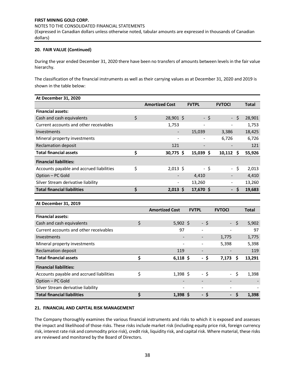## NOTES TO THE CONSOLIDATED FINANCIAL STATEMENTS

(Expressed in Canadian dollars unless otherwise noted, tabular amounts are expressed in thousands of Canadian dollars)

## **20. FAIR VALUE (Continued)**

During the year ended December 31, 2020 there have been no transfers of amounts between levels in the fair value hierarchy.

The classification of the financial instruments as well as their carrying values as at December 31, 2020 and 2019 is shown in the table below:

| At December 31, 2020                     |                       |                          |                          |     |        |
|------------------------------------------|-----------------------|--------------------------|--------------------------|-----|--------|
|                                          | <b>Amortized Cost</b> | <b>FVTPL</b>             | <b>FVTOCI</b>            |     | Total  |
| <b>Financial assets:</b>                 |                       |                          |                          |     |        |
| Cash and cash equivalents                | \$<br>$28,901$ \$     |                          | - \$<br>$\blacksquare$   | \$  | 28,901 |
| Current accounts and other receivables   | 1,753                 | $\overline{\phantom{0}}$ |                          |     | 1,753  |
| Investments                              |                       | 15,039                   | 3,386                    |     | 18,425 |
| Mineral property investments             |                       |                          | 6,726                    |     | 6,726  |
| <b>Reclamation deposit</b>               | 121                   |                          |                          |     | 121    |
| <b>Total financial assets</b>            | \$<br>$30,775$ \$     | $15,039$ \$              | $10,112$ \$              |     | 55,926 |
| <b>Financial liabilities:</b>            |                       |                          |                          |     |        |
| Accounts payable and accrued liabilities | \$<br>$2,013$ \$      |                          | - \$                     | -\$ | 2,013  |
| Option - PC Gold                         |                       | 4,410                    |                          |     | 4,410  |
| Silver Stream derivative liability       |                       | 13,260                   | -                        |     | 13,260 |
| <b>Total financial liabilities</b>       | \$<br>$2,013 \;$ \$   | 17,670 \$                | $\overline{\phantom{0}}$ | .S  | 19,683 |

#### **At December 31, 2019**

|                                          | <b>Amortized Cost</b> | <b>FVTPL</b> |                          | <b>FVTOCI</b>       |      | <b>Total</b> |
|------------------------------------------|-----------------------|--------------|--------------------------|---------------------|------|--------------|
| <b>Financial assets:</b>                 |                       |              |                          |                     |      |              |
| Cash and cash equivalents                | \$<br>$5,902$ \$      |              | - \$                     | $\omega_{\rm{max}}$ | Ŝ.   | 5,902        |
| Current accounts and other receivables   | 97                    |              | $\overline{\phantom{a}}$ |                     |      | 97           |
| Investments                              |                       |              | -                        | 1,775               |      | 1,775        |
| Mineral property investments             | -                     |              | $\overline{\phantom{a}}$ | 5,398               |      | 5,398        |
| <b>Reclamation deposit</b>               | 119                   |              | -                        |                     |      | 119          |
| <b>Total financial assets</b>            | \$<br>$6,118$ \$      |              | - \$                     | $7,173$ \$          |      | 13,291       |
| <b>Financial liabilities:</b>            |                       |              |                          |                     |      |              |
| Accounts payable and accrued liabilities | \$<br>$1,398$ \$      |              | - \$                     |                     | - \$ | 1,398        |
| Option - PC Gold                         |                       |              | -                        |                     |      |              |
| Silver Stream derivative liability       |                       |              | $\overline{\phantom{a}}$ |                     |      |              |
| <b>Total financial liabilities</b>       | \$<br>$1,398$ \$      |              | - \$                     | $\sim$              | S    | 1,398        |

#### **21. FINANCIAL AND CAPITAL RISK MANAGEMENT**

The Company thoroughly examines the various financial instruments and risks to which it is exposed and assesses the impact and likelihood of those risks. These risks include market risk (including equity price risk, foreign currency risk, interest rate risk and commodity price risk), credit risk, liquidity risk, and capital risk. Where material, these risks are reviewed and monitored by the Board of Directors.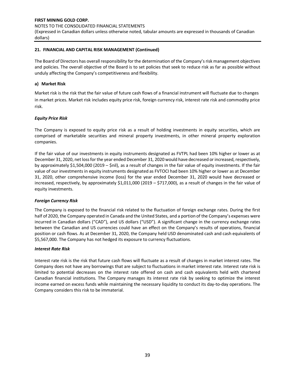(Expressed in Canadian dollars unless otherwise noted, tabular amounts are expressed in thousands of Canadian dollars)

## **21. FINANCIAL AND CAPITAL RISK MANAGEMENT (Continued)**

The Board of Directors has overall responsibility for the determination of the Company's risk management objectives and policies. The overall objective of the Board is to set policies that seek to reduce risk as far as possible without unduly affecting the Company's competitiveness and flexibility.

## **a) Market Risk**

Market risk is the risk that the fair value of future cash flows of a financial instrument will fluctuate due to changes in market prices. Market risk includes equity price risk, foreign currency risk, interest rate risk and commodity price risk.

## *Equity Price Risk*

The Company is exposed to equity price risk as a result of holding investments in equity securities, which are comprised of marketable securities and mineral property investments, in other mineral property exploration companies.

If the fair value of our investments in equity instruments designated as FVTPL had been 10% higher or lower as at December 31, 2020, net loss for the year ended December 31, 2020 would have decreased or increased, respectively, by approximately \$1,504,000 (2019 – \$nil), as a result of changes in the fair value of equity investments. If the fair value of our investments in equity instruments designated as FVTOCI had been 10% higher or lower as at December 31, 2020, other comprehensive income (loss) for the year ended December 31, 2020 would have decreased or increased, respectively, by approximately \$1,011,000 (2019 – \$717,000), as a result of changes in the fair value of equity investments.

#### *Foreign Currency Risk*

The Company is exposed to the financial risk related to the fluctuation of foreign exchange rates. During the first half of 2020, the Company operated in Canada and the United States, and a portion of the Company's expenses were incurred in Canadian dollars ("CAD"), and US dollars ("USD"). A significant change in the currency exchange rates between the Canadian and US currencies could have an effect on the Company's results of operations, financial position or cash flows. As at December 31, 2020, the Company held USD denominated cash and cash equivalents of \$5,567,000. The Company has not hedged its exposure to currency fluctuations.

#### *Interest Rate Risk*

Interest rate risk is the risk that future cash flows will fluctuate as a result of changes in market interest rates. The Company does not have any borrowings that are subject to fluctuations in market interest rate. Interest rate risk is limited to potential decreases on the interest rate offered on cash and cash equivalents held with chartered Canadian financial institutions. The Company manages its interest rate risk by seeking to optimize the interest income earned on excess funds while maintaining the necessary liquidity to conduct its day-to-day operations. The Company considers this risk to be immaterial.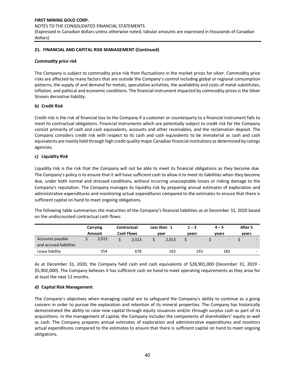NOTES TO THE CONSOLIDATED FINANCIAL STATEMENTS

(Expressed in Canadian dollars unless otherwise noted, tabular amounts are expressed in thousands of Canadian dollars)

# **21. FINANCIAL AND CAPITAL RISK MANAGEMENT (Continued)**

## *Commodity price risk*

The Company is subject to commodity price risk from fluctuations in the market prices for silver. Commodity price risks are affected by many factors that are outside the Company's control including global or regional consumption patterns, the supply of and demand for metals, speculative activities, the availability and costs of metal substitutes, inflation, and political and economic conditions. The financial instrument impacted by commodity prices is the Silver Stream derivative liability.

# **b) Credit Risk**

Credit risk is the risk of financial loss to the Company if a customer or counterparty to a financial instrument fails to meet its contractual obligations. Financial instruments which are potentially subject to credit risk for the Company consist primarily of cash and cash equivalents, accounts and other receivables, and the reclamation deposit. The Company considers credit risk with respect to its cash and cash equivalents to be immaterial as cash and cash equivalents are mainly held through high credit quality major Canadian financial institutions as determined by ratings agencies.

# **c) Liquidity Risk**

Liquidity risk is the risk that the Company will not be able to meet its financial obligations as they become due. The Company's policy is to ensure that it will have sufficient cash to allow it to meet its liabilities when they become due, under both normal and stressed conditions, without incurring unacceptable losses or risking damage to the Company's reputation. The Company manages its liquidity risk by preparing annual estimates of exploration and administrative expenditures and monitoring actual expenditures compared to the estimates to ensure that there is sufficient capital on hand to meet ongoing obligations.

The following table summarizes the maturities of the Company's financial liabilities as at December 31, 2020 based on the undiscounted contractual cash flows:

|                                             | Carrying |        |                   | Contractual | Less than |       |       | $1 - 3$ | $4 - 5$                  | After 5 |                          |
|---------------------------------------------|----------|--------|-------------------|-------------|-----------|-------|-------|---------|--------------------------|---------|--------------------------|
|                                             |          | Amount | <b>Cash Flows</b> |             |           | vear  | vears |         | vears                    | vears   |                          |
| Accounts payable<br>and accrued liabilities |          | 2,013  |                   | 2.013       |           | 2,013 |       | -       | $\overline{\phantom{a}}$ |         | $\overline{\phantom{0}}$ |
| Lease liability                             |          | 554    |                   | 678         |           | 163   |       | 333     | 182                      |         | -                        |

As at December 31, 2020, the Company held cash and cash equivalents of \$28,901,000 (December 31, 2019 - \$5,902,000). The Company believes it has sufficient cash on hand to meet operating requirements as they arise for at least the next 12 months.

## **d) Capital Risk Management**

The Company's objectives when managing capital are to safeguard the Company's ability to continue as a going concern in order to pursue the exploration and retention of its mineral properties. The Company has historically demonstrated the ability to raise new capital through equity issuances and/or through surplus cash as part of its acquisitions. In the management of capital, the Company includes the components of shareholders' equity as well as cash. The Company prepares annual estimates of exploration and administrative expenditures and monitors actual expenditures compared to the estimates to ensure that there is sufficient capital on hand to meet ongoing obligations.